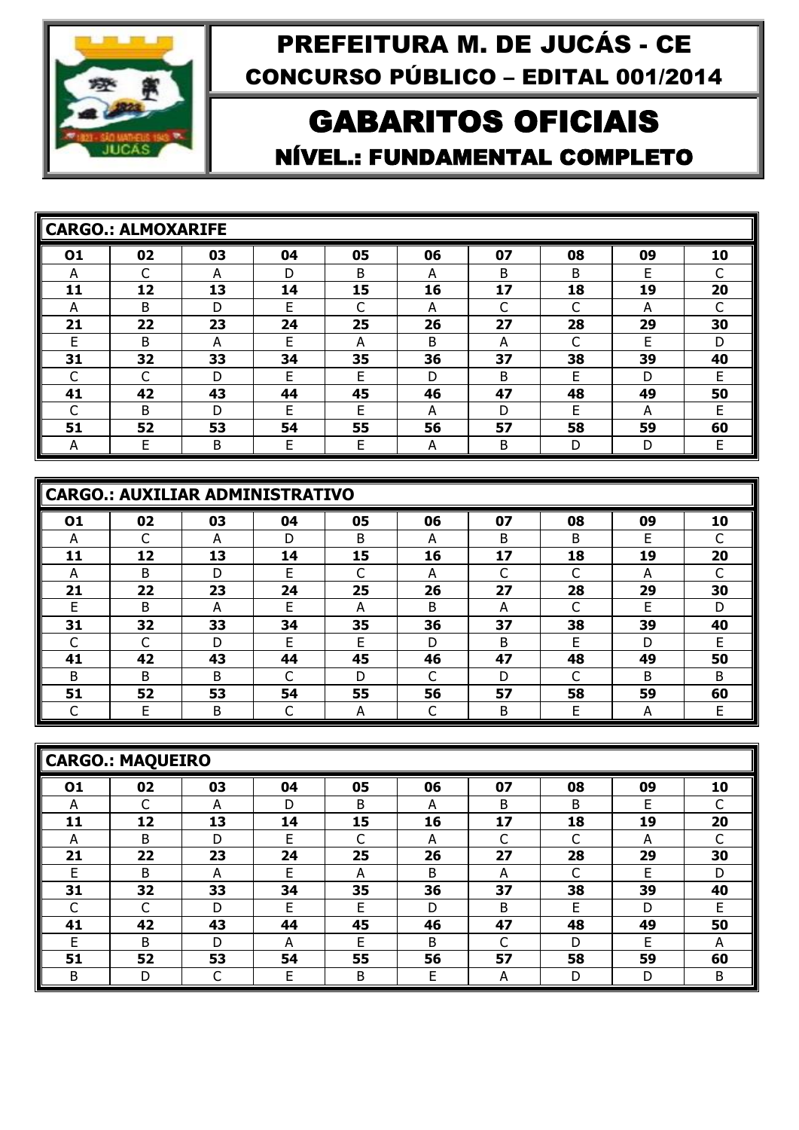

## GABARITOS OFICIAIS NÍVEL.: FUNDAMENTAL COMPLETO

| <b>CARGO.: ALMOXARIFE</b> |    |    |    |    |    |    |    |    |    |
|---------------------------|----|----|----|----|----|----|----|----|----|
| 01                        | 02 | 03 | 04 | 05 | 06 | 07 | 08 | 09 | 10 |
| A                         |    | А  | D  | B  | А  | B  | B  | F  |    |
| 11                        | 12 | 13 | 14 | 15 | 16 | 17 | 18 | 19 | 20 |
| A                         | B  | D  | Е  | ┌  | A  | ⌒  | ⌒  | А  |    |
| 21                        | 22 | 23 | 24 | 25 | 26 | 27 | 28 | 29 | 30 |
| E.                        | B  | А  | E  | А  | B  | А  | ┌  | E  | D  |
| 31                        | 32 | 33 | 34 | 35 | 36 | 37 | 38 | 39 | 40 |
| ⌒                         |    | D  | F  | F  | D  | B  | F  | D  | F  |
| 41                        | 42 | 43 | 44 | 45 | 46 | 47 | 48 | 49 | 50 |
|                           | B  | D  | F  | F  | А  | D  | F  | А  | F  |
| 51                        | 52 | 53 | 54 | 55 | 56 | 57 | 58 | 59 | 60 |
| A                         | E. | B  | Е  | E  | А  | B  | D  | D  | E  |

|    | CARGO.: AUXILIAR ADMINISTRATIVO |    |    |    |    |    |    |    |    |  |  |  |  |
|----|---------------------------------|----|----|----|----|----|----|----|----|--|--|--|--|
| 01 | 02                              | 03 | 04 | 05 | 06 | 07 | 08 | 09 | 10 |  |  |  |  |
| А  |                                 | А  | D  | B  | А  | B  | B  | F  |    |  |  |  |  |
| 11 | 12                              | 13 | 14 | 15 | 16 | 17 | 18 | 19 | 20 |  |  |  |  |
| А  | B                               | D  | F  |    | A  |    |    | A  |    |  |  |  |  |
| 21 | 22                              | 23 | 24 | 25 | 26 | 27 | 28 | 29 | 30 |  |  |  |  |
| F  | B                               | А  | F  | A  | B  | А  |    | F  | D  |  |  |  |  |
| 31 | 32                              | 33 | 34 | 35 | 36 | 37 | 38 | 39 | 40 |  |  |  |  |
|    |                                 | D  | F  | F  | D  | B  | F  | D  | F  |  |  |  |  |
| 41 | 42                              | 43 | 44 | 45 | 46 | 47 | 48 | 49 | 50 |  |  |  |  |
| B  | B                               | B. |    | D  |    | D  |    | B  | B  |  |  |  |  |
| 51 | 52                              | 53 | 54 | 55 | 56 | 57 | 58 | 59 | 60 |  |  |  |  |
|    |                                 | B  |    | А  |    | B  | E  | А  |    |  |  |  |  |

|    | CARGO.: MAQUEIRO |    |    |    |    |    |    |    |    |  |  |  |  |
|----|------------------|----|----|----|----|----|----|----|----|--|--|--|--|
| 01 | 02               | 03 | 04 | 05 | 06 | 07 | 08 | 09 | 10 |  |  |  |  |
| A  |                  | A  | D  | B  | А  | B  | B  | E  |    |  |  |  |  |
| 11 | 12               | 13 | 14 | 15 | 16 | 17 | 18 | 19 | 20 |  |  |  |  |
| А  | B                | D  | E  | ┌  | А  | C  | ┌  | A  |    |  |  |  |  |
| 21 | 22               | 23 | 24 | 25 | 26 | 27 | 28 | 29 | 30 |  |  |  |  |
| E  | B                | A  | E  | А  | B  | A  | C  | E  | D  |  |  |  |  |
| 31 | 32               | 33 | 34 | 35 | 36 | 37 | 38 | 39 | 40 |  |  |  |  |
|    |                  | D  | F  | F  | D  | B  | F  | D  | E  |  |  |  |  |
| 41 | 42               | 43 | 44 | 45 | 46 | 47 | 48 | 49 | 50 |  |  |  |  |
| F  | B                | D  | А  | F  | B  | C  | D  | F  | А  |  |  |  |  |
| 51 | 52               | 53 | 54 | 55 | 56 | 57 | 58 | 59 | 60 |  |  |  |  |
| B  | D                | C  | Е  | B  | Е  | A  | D  | D  | B  |  |  |  |  |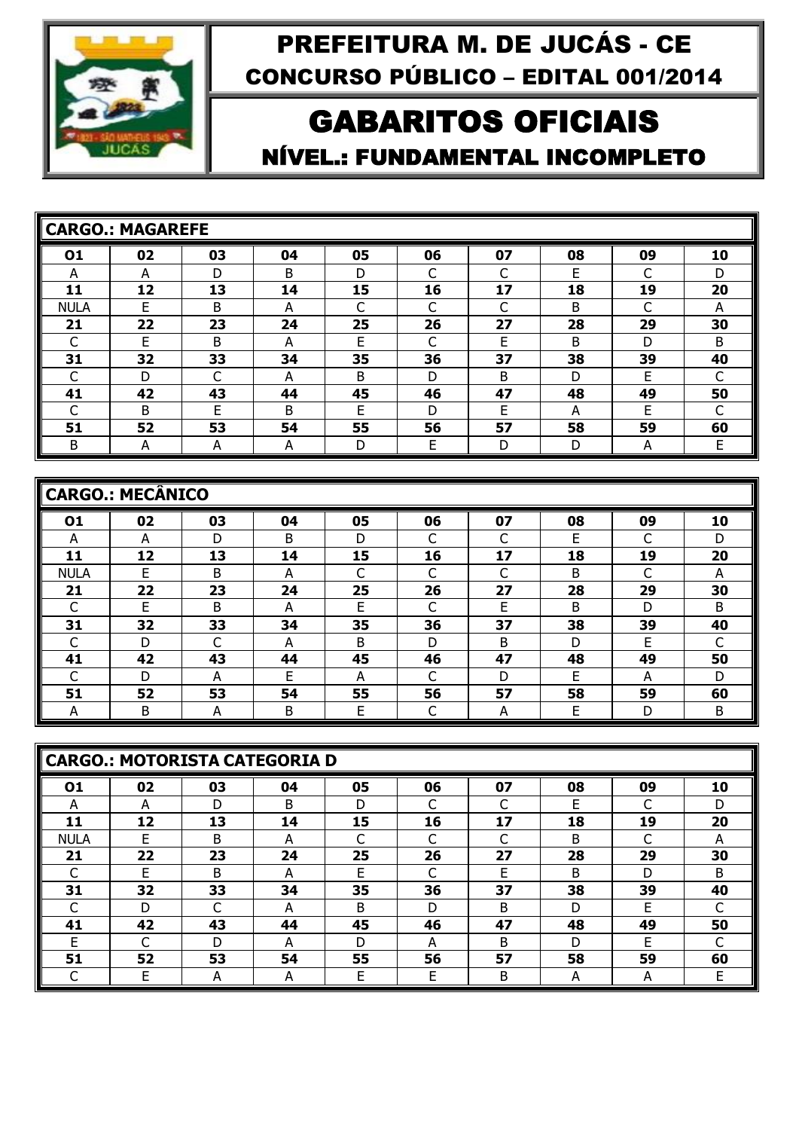

## GABARITOS OFICIAIS NÍVEL.: FUNDAMENTAL INCOMPLETO

|             | <b>CARGO.: MAGAREFE</b> |    |    |    |    |    |    |    |    |
|-------------|-------------------------|----|----|----|----|----|----|----|----|
| 01          | 02                      | 03 | 04 | 05 | 06 | 07 | 08 | 09 | 10 |
| А           | A                       | D  | B  | D  |    | ⌒  | E  | ┌  | D  |
| 11          | 12                      | 13 | 14 | 15 | 16 | 17 | 18 | 19 | 20 |
| <b>NULA</b> | F                       | B  | А  |    |    | ┌  | B  | ┌  | А  |
| 21          | 22                      | 23 | 24 | 25 | 26 | 27 | 28 | 29 | 30 |
|             | E                       | B  | А  | E  | ⌒  | E  | B  | D  | B  |
| 31          | 32                      | 33 | 34 | 35 | 36 | 37 | 38 | 39 | 40 |
|             | D                       | C  | А  | B  | D  | B  | D  | E  |    |
| 41          | 42                      | 43 | 44 | 45 | 46 | 47 | 48 | 49 | 50 |
|             | B                       | F  | B  | F  | D  | F. | А  | F  | ⌒  |
| 51          | 52                      | 53 | 54 | 55 | 56 | 57 | 58 | 59 | 60 |
| B           | A                       | A  | А  | D  | E  | D  | D  | А  | Е  |

|             | CARGO.: MECÂNICO |    |    |    |    |    |    |    |    |  |  |  |  |
|-------------|------------------|----|----|----|----|----|----|----|----|--|--|--|--|
| 01          | 02               | 03 | 04 | 05 | 06 | 07 | 08 | 09 | 10 |  |  |  |  |
| А           | А                | D  | B  | D  |    | ⌒  | E  |    | D  |  |  |  |  |
| 11          | 12               | 13 | 14 | 15 | 16 | 17 | 18 | 19 | 20 |  |  |  |  |
| <b>NULA</b> | F                | B  | А  |    |    | ⌒  | B  | ⌒  | A  |  |  |  |  |
| 21          | 22               | 23 | 24 | 25 | 26 | 27 | 28 | 29 | 30 |  |  |  |  |
|             | F                | B  | А  | F  |    | F  | B  | D  | B  |  |  |  |  |
| 31          | 32               | 33 | 34 | 35 | 36 | 37 | 38 | 39 | 40 |  |  |  |  |
|             | D                | C  | А  | B  | D  | B  | D  | F  |    |  |  |  |  |
| 41          | 42               | 43 | 44 | 45 | 46 | 47 | 48 | 49 | 50 |  |  |  |  |
|             | D                | А  | Е  | А  |    | D  | E  | А  | D  |  |  |  |  |
| 51          | 52               | 53 | 54 | 55 | 56 | 57 | 58 | 59 | 60 |  |  |  |  |
| А           | Β                | А  | В  | E  | ⌒  | А  | Е  | D  | B  |  |  |  |  |

|             | CARGO.: MOTORISTA CATEGORIA D |    |    |    |    |    |    |    |    |  |  |  |  |
|-------------|-------------------------------|----|----|----|----|----|----|----|----|--|--|--|--|
| 01          | 02                            | 03 | 04 | 05 | 06 | 07 | 08 | 09 | 10 |  |  |  |  |
| A           | А                             | D  | B  | D  |    | C  | E  | C  | D  |  |  |  |  |
| 11          | 12                            | 13 | 14 | 15 | 16 | 17 | 18 | 19 | 20 |  |  |  |  |
| <b>NULA</b> | E                             | B  | А  | ┌  | ⌒  | C  | B  | ┌  | A  |  |  |  |  |
| 21          | 22                            | 23 | 24 | 25 | 26 | 27 | 28 | 29 | 30 |  |  |  |  |
|             | F                             | B  | А  | Е  |    | Е  | B  | D  | B  |  |  |  |  |
| 31          | 32                            | 33 | 34 | 35 | 36 | 37 | 38 | 39 | 40 |  |  |  |  |
|             | D                             | C  | A  | B  | D  | B  | D  | F  |    |  |  |  |  |
| 41          | 42                            | 43 | 44 | 45 | 46 | 47 | 48 | 49 | 50 |  |  |  |  |
| E           |                               | D  | А  | D  | А  | B  | D  | F  |    |  |  |  |  |
| 51          | 52                            | 53 | 54 | 55 | 56 | 57 | 58 | 59 | 60 |  |  |  |  |
|             | E                             | А  | А  | E  | E  | B  | A  | A  | E  |  |  |  |  |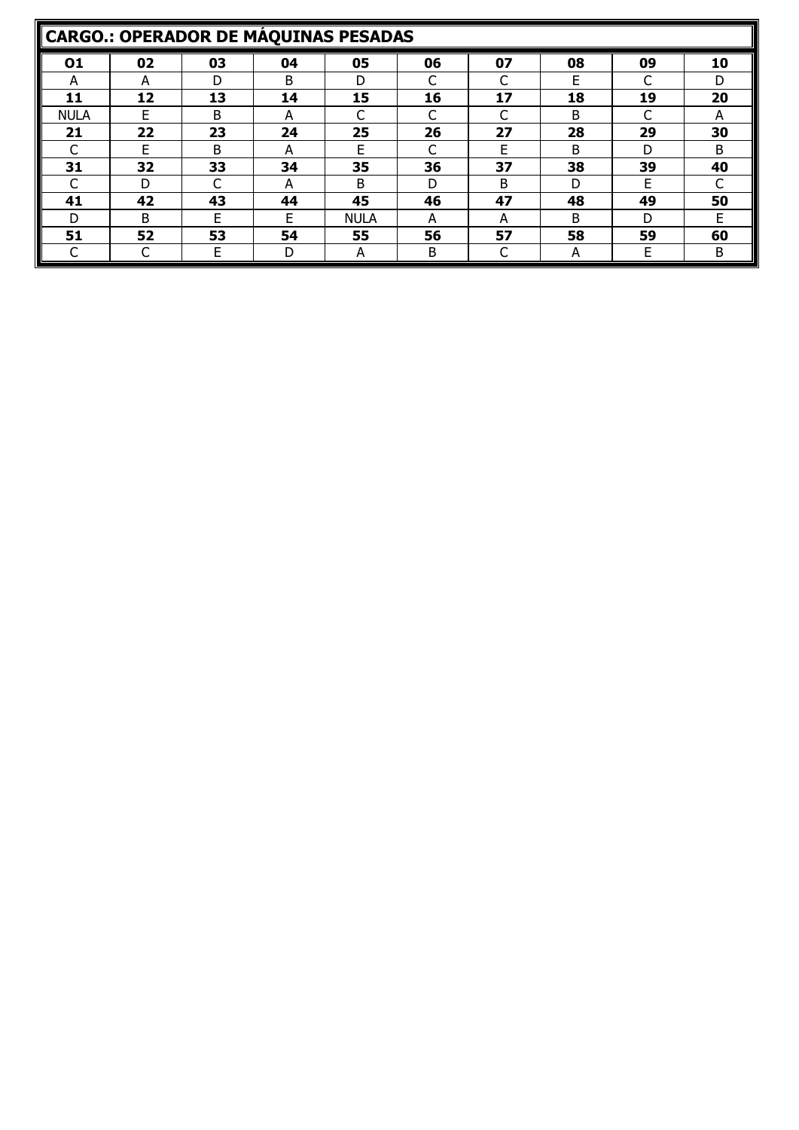|             | <b>CARGO.: OPERADOR DE MÁQUINAS PESADAS</b> |    |    |             |    |    |    |    |    |  |  |  |  |
|-------------|---------------------------------------------|----|----|-------------|----|----|----|----|----|--|--|--|--|
| 01          | 02                                          | 03 | 04 | 05          | 06 | 07 | 08 | 09 | 10 |  |  |  |  |
| А           | А                                           | D  | B  | D           |    |    | F  |    | D  |  |  |  |  |
| 11          | 12                                          | 13 | 14 | 15          | 16 | 17 | 18 | 19 | 20 |  |  |  |  |
| <b>NULA</b> | F                                           | B  | A  |             |    |    | B  |    | А  |  |  |  |  |
| 21          | 22                                          | 23 | 24 | 25          | 26 | 27 | 28 | 29 | 30 |  |  |  |  |
|             | F                                           | B  | А  | F           |    | F  | B  | D  | B  |  |  |  |  |
| 31          | 32                                          | 33 | 34 | 35          | 36 | 37 | 38 | 39 | 40 |  |  |  |  |
|             | D                                           |    | А  | B           | D  | B  | D  | F  |    |  |  |  |  |
| 41          | 42                                          | 43 | 44 | 45          | 46 | 47 | 48 | 49 | 50 |  |  |  |  |
| D           | B                                           | F  | F  | <b>NULA</b> | A  | А  | B  | D  | F  |  |  |  |  |
| 51          | 52                                          | 53 | 54 | 55          | 56 | 57 | 58 | 59 | 60 |  |  |  |  |
|             |                                             | F  | D  | А           | B  |    | А  | E  | B  |  |  |  |  |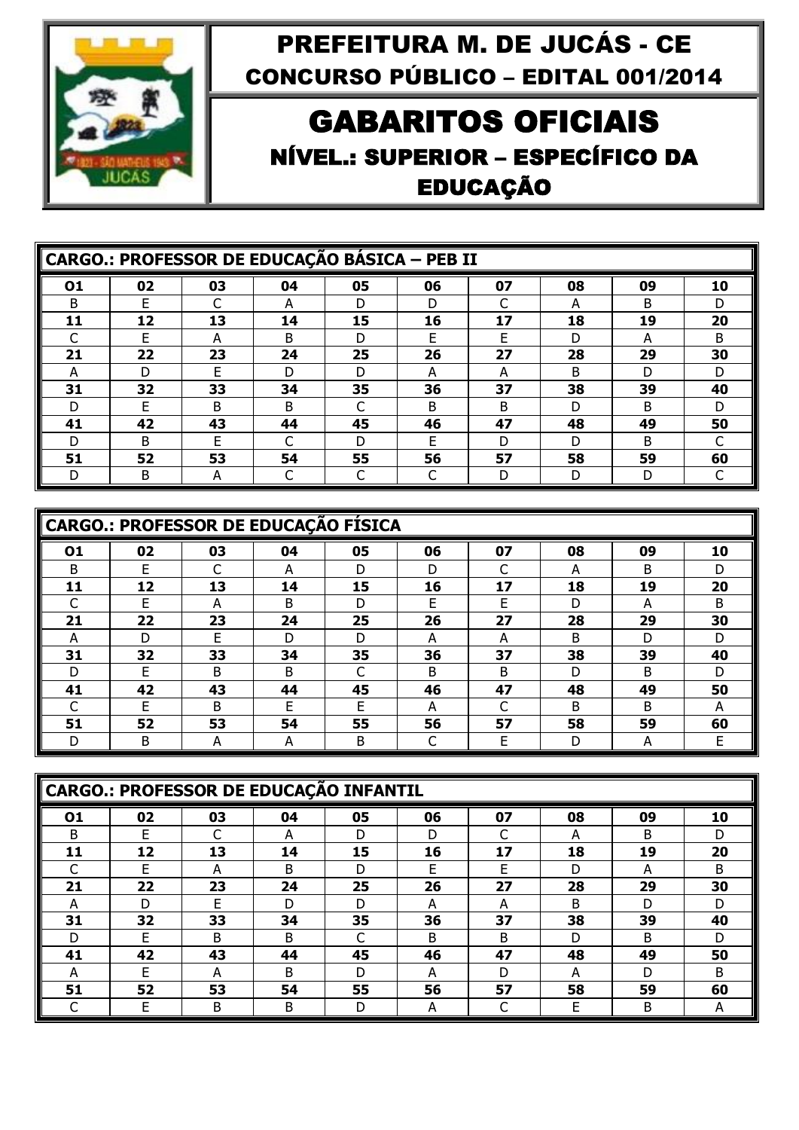

## GABARITOS OFICIAIS NÍVEL.: SUPERIOR – ESPECÍFICO DA EDUCAÇÃO

|    | <b>CARGO.: PROFESSOR DE EDUCAÇÃO BÁSICA - PEB II</b> |              |    |    |    |    |    |    |    |  |  |  |
|----|------------------------------------------------------|--------------|----|----|----|----|----|----|----|--|--|--|
| 01 | 02                                                   | 03           | 04 | 05 | 06 | 07 | 08 | 09 | 10 |  |  |  |
| B  |                                                      |              | А  | D  | D  |    | A  | B  | D  |  |  |  |
| 11 | 12                                                   | 13           | 14 | 15 | 16 | 17 | 18 | 19 | 20 |  |  |  |
|    | F                                                    | A            | B  | D  | F  | F  | D  | A  | B  |  |  |  |
| 21 | 22                                                   | 23           | 24 | 25 | 26 | 27 | 28 | 29 | 30 |  |  |  |
| A  | D                                                    | F            | D  | D  | А  | A  | B  | D  | D. |  |  |  |
| 31 | 32                                                   | 33           | 34 | 35 | 36 | 37 | 38 | 39 | 40 |  |  |  |
| D  | F                                                    | <sub>B</sub> | B. |    | B. | B  | D  | B  | D. |  |  |  |
| 41 | 42                                                   | 43           | 44 | 45 | 46 | 47 | 48 | 49 | 50 |  |  |  |
| D  | B                                                    | F            |    | D  | F  | D  | D  | B  |    |  |  |  |
| 51 | 52                                                   | 53           | 54 | 55 | 56 | 57 | 58 | 59 | 60 |  |  |  |
| D  | B                                                    | A            |    |    |    | D  | D  | D  |    |  |  |  |

|    | <b>CARGO.: PROFESSOR DE EDUCAÇÃO FÍSICA</b> |              |    |    |    |    |    |    |    |  |  |  |  |
|----|---------------------------------------------|--------------|----|----|----|----|----|----|----|--|--|--|--|
| 01 | 02                                          | 03           | 04 | 05 | 06 | 07 | 08 | 09 | 10 |  |  |  |  |
| B  |                                             |              | A  | D  | D  |    | A  | B  | D  |  |  |  |  |
| 11 | 12                                          | 13           | 14 | 15 | 16 | 17 | 18 | 19 | 20 |  |  |  |  |
|    | F                                           | А            | B  | D  | F  | F  | D  | А  | B  |  |  |  |  |
| 21 | 22                                          | 23           | 24 | 25 | 26 | 27 | 28 | 29 | 30 |  |  |  |  |
| А  | D                                           | F            | D  | D  | А  | А  | B  | D  | D  |  |  |  |  |
| 31 | 32                                          | 33           | 34 | 35 | 36 | 37 | 38 | 39 | 40 |  |  |  |  |
| D  | F                                           | B            | B  | ┌  | B  | B  | D  | B  | D  |  |  |  |  |
| 41 | 42                                          | 43           | 44 | 45 | 46 | 47 | 48 | 49 | 50 |  |  |  |  |
|    | F                                           | <sub>B</sub> | F  | F  | А  |    | B  | B  | А  |  |  |  |  |
| 51 | 52                                          | 53           | 54 | 55 | 56 | 57 | 58 | 59 | 60 |  |  |  |  |
|    | B                                           | A            | А  | B  |    | E  | D  | A  | F  |  |  |  |  |

|    | CARGO.: PROFESSOR DE EDUCAÇÃO INFANTIL |    |    |    |    |    |    |    |              |  |  |  |  |
|----|----------------------------------------|----|----|----|----|----|----|----|--------------|--|--|--|--|
| 01 | 02                                     | 03 | 04 | 05 | 06 | 07 | 08 | 09 | 10           |  |  |  |  |
| B  | F                                      |    | А  | D  | D  | ⌒  | А  | B  |              |  |  |  |  |
| 11 | 12                                     | 13 | 14 | 15 | 16 | 17 | 18 | 19 | 20           |  |  |  |  |
|    | F                                      | А  | В  | D  | F  | F  | D  | А  | B            |  |  |  |  |
| 21 | 22                                     | 23 | 24 | 25 | 26 | 27 | 28 | 29 | 30           |  |  |  |  |
| А  | D                                      | F  | D  | D  | А  | А  | B  | D  | D            |  |  |  |  |
| 31 | 32                                     | 33 | 34 | 35 | 36 | 37 | 38 | 39 | 40           |  |  |  |  |
| D  | F                                      | B  | В  | ┌  | B  | B  | D  | B  | D            |  |  |  |  |
| 41 | 42                                     | 43 | 44 | 45 | 46 | 47 | 48 | 49 | 50           |  |  |  |  |
| А  | F                                      | А  | B  | D  | А  | D  | A  | D  | <sub>B</sub> |  |  |  |  |
| 51 | 52                                     | 53 | 54 | 55 | 56 | 57 | 58 | 59 | 60           |  |  |  |  |
|    |                                        | B  | B  | D  | А  |    |    | B  |              |  |  |  |  |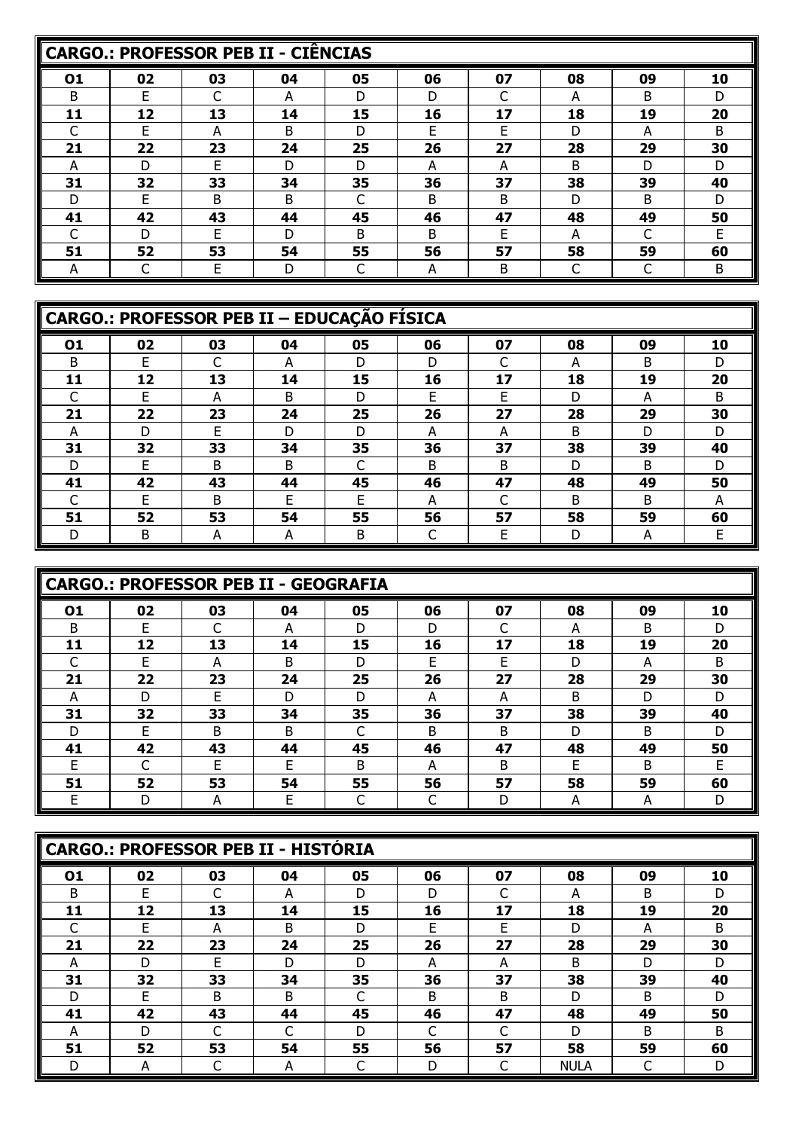|    |    | CARGO.: PROFESSOR PEB II - CIÊNCIAS |    |    |              |    |    |    |    |
|----|----|-------------------------------------|----|----|--------------|----|----|----|----|
| 01 | 02 | 03                                  | 04 | 05 | 06           | 07 | 08 | 09 | 10 |
| B  | F  |                                     | А  | D  | D            |    | А  | B  | D  |
| 11 | 12 | 13                                  | 14 | 15 | 16           | 17 | 18 | 19 | 20 |
|    | F  | А                                   | B  | D  | F            | F  | D  | A  | B  |
| 21 | 22 | 23                                  | 24 | 25 | 26           | 27 | 28 | 29 | 30 |
| A  | D  | E                                   | D  | D  | А            | А  | B  | D  | D  |
| 31 | 32 | 33                                  | 34 | 35 | 36           | 37 | 38 | 39 | 40 |
| D  | F  | B                                   | B  |    | B            | B  | D  | B  | D  |
| 41 | 42 | 43                                  | 44 | 45 | 46           | 47 | 48 | 49 | 50 |
|    | D  | F                                   | D  | B. | <sub>B</sub> | F  | A  | C  | F  |
| 51 | 52 | 53                                  | 54 | 55 | 56           | 57 | 58 | 59 | 60 |
| A  |    | F                                   | D  |    | А            | B  |    |    | B  |

|    | CARGO.: PROFESSOR PEB II - EDUCAÇÃO FÍSICA |    |    |    |    |    |    |    |    |  |  |  |
|----|--------------------------------------------|----|----|----|----|----|----|----|----|--|--|--|
| 01 | 02                                         | 03 | 04 | 05 | 06 | 07 | 08 | 09 | 10 |  |  |  |
| B  | F                                          |    | A  | D  | D  |    | A  | B  | D  |  |  |  |
| 11 | 12                                         | 13 | 14 | 15 | 16 | 17 | 18 | 19 | 20 |  |  |  |
|    | F                                          | А  | R. | D  | F  | F  | D. | А  | B  |  |  |  |
| 21 | 22                                         | 23 | 24 | 25 | 26 | 27 | 28 | 29 | 30 |  |  |  |
| А  | D                                          | F  | D  | D  | A  | А  | B. | D  | D  |  |  |  |
| 31 | 32                                         | 33 | 34 | 35 | 36 | 37 | 38 | 39 | 40 |  |  |  |
| D  | F                                          | B  | B  | ┌  | B  | B  | D  | B  | D  |  |  |  |
| 41 | 42                                         | 43 | 44 | 45 | 46 | 47 | 48 | 49 | 50 |  |  |  |
|    | F                                          | B  | F  | F  | A  | C  | B. | B  | А  |  |  |  |
| 51 | 52                                         | 53 | 54 | 55 | 56 | 57 | 58 | 59 | 60 |  |  |  |
| D  | B                                          | A  | A  | Β  |    | Е  | D  | A  | F  |  |  |  |

|    |    | CARGO.: PROFESSOR PEB II - GEOGRAFIA |    |    |              |              |    |    |    |
|----|----|--------------------------------------|----|----|--------------|--------------|----|----|----|
| 01 | 02 | 03                                   | 04 | 05 | 06           | 07           | 08 | 09 | 10 |
| B  | F  |                                      | А  | D  | D            |              | А  | B  | D  |
| 11 | 12 | 13                                   | 14 | 15 | 16           | 17           | 18 | 19 | 20 |
|    | E  | А                                    | B  | D  | F            | Е            | D  | А  | B  |
| 21 | 22 | 23                                   | 24 | 25 | 26           | 27           | 28 | 29 | 30 |
| А  | D  | F                                    | D  | D  | А            | А            | B  | D  | D  |
| 31 | 32 | 33                                   | 34 | 35 | 36           | 37           | 38 | 39 | 40 |
| D  | F  | <sub>B</sub>                         | B  |    | <sub>B</sub> | <sub>B</sub> | D  | B  | D  |
| 41 | 42 | 43                                   | 44 | 45 | 46           | 47           | 48 | 49 | 50 |
| F  |    | F                                    | F  | B  | А            | В            | F  | B  | F  |
| 51 | 52 | 53                                   | 54 | 55 | 56           | 57           | 58 | 59 | 60 |
| F  |    | А                                    | F  |    |              | D            | А  | А  | D  |

|    |    | CARGO.: PROFESSOR PEB II - HISTÓRIA |    |    |    |    |             |    |    |
|----|----|-------------------------------------|----|----|----|----|-------------|----|----|
| 01 | 02 | 03                                  | 04 | 05 | 06 | 07 | 08          | 09 | 10 |
| B  | F  |                                     | А  | D  | D  |    | А           | B  |    |
| 11 | 12 | 13                                  | 14 | 15 | 16 | 17 | 18          | 19 | 20 |
|    | F  | А                                   | B  | D  | F  | E  | D           | А  | B  |
| 21 | 22 | 23                                  | 24 | 25 | 26 | 27 | 28          | 29 | 30 |
| А  |    | F                                   | D  | D  | А  | A  | B           | D  | D  |
| 31 | 32 | 33                                  | 34 | 35 | 36 | 37 | 38          | 39 | 40 |
|    | F  | B                                   | B  |    | B  | B  | D           | B  |    |
| 41 | 42 | 43                                  | 44 | 45 | 46 | 47 | 48          | 49 | 50 |
| А  |    |                                     |    | D  |    |    | D           | B  | B  |
| 51 | 52 | 53                                  | 54 | 55 | 56 | 57 | 58          | 59 | 60 |
|    | A  |                                     | A  |    | D  | r  | <b>NULA</b> |    |    |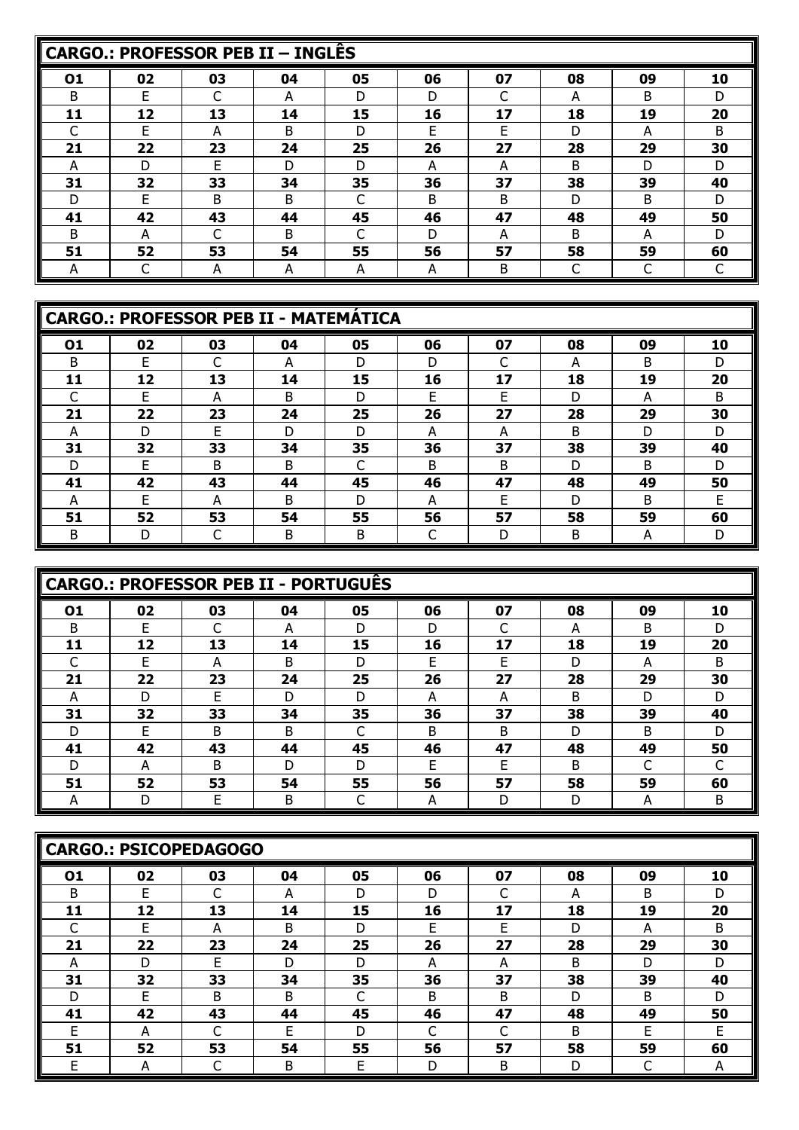|    |    | CARGO.: PROFESSOR PEB II - INGLÊS |    |    |    |              |    |              |    |
|----|----|-----------------------------------|----|----|----|--------------|----|--------------|----|
| 01 | 02 | 03                                | 04 | 05 | 06 | 07           | 08 | 09           | 10 |
| B  | F  | ⌒                                 | А  | D  | D  | C            | A  | B            | D  |
| 11 | 12 | 13                                | 14 | 15 | 16 | 17           | 18 | 19           | 20 |
|    | E  | A                                 | B  | D  | E  | F            | D  | A            | B  |
| 21 | 22 | 23                                | 24 | 25 | 26 | 27           | 28 | 29           | 30 |
| A  | D  | F                                 | D  | D  | А  | A            | B  | D            | D  |
| 31 | 32 | 33                                | 34 | 35 | 36 | 37           | 38 | 39           | 40 |
| D  | F  | B.                                | B  |    | B  | <sub>B</sub> | D  | <sub>B</sub> | D  |
| 41 | 42 | 43                                | 44 | 45 | 46 | 47           | 48 | 49           | 50 |
| B. | А  |                                   | B  |    | D  | A            | B  | A            | D  |
| 51 | 52 | 53                                | 54 | 55 | 56 | 57           | 58 | 59           | 60 |
| A  |    | А                                 | A  | A  | А  | B            |    | C            |    |

|    |    | <b>CARGO.: PROFESSOR PEB II - MATEMÁTICA</b> |    |    |    |    |    |    |    |
|----|----|----------------------------------------------|----|----|----|----|----|----|----|
| 01 | 02 | 03                                           | 04 | 05 | 06 | 07 | 08 | 09 | 10 |
| B  |    | C                                            | A  | D  | D  |    | A  | B  | D  |
| 11 | 12 | 13                                           | 14 | 15 | 16 | 17 | 18 | 19 | 20 |
|    | F  | A                                            | B  | D  | F  | F  | D  | A  | B  |
| 21 | 22 | 23                                           | 24 | 25 | 26 | 27 | 28 | 29 | 30 |
| А  | D  | F                                            | D  | D  | А  | А  | B  | D  | D  |
| 31 | 32 | 33                                           | 34 | 35 | 36 | 37 | 38 | 39 | 40 |
| D  | F  | B                                            | B  | ┌  | B  | B  | D  | B  | D  |
| 41 | 42 | 43                                           | 44 | 45 | 46 | 47 | 48 | 49 | 50 |
| A  | F  | A                                            | B  | D  | А  | E  | D  | B  | F  |
| 51 | 52 | 53                                           | 54 | 55 | 56 | 57 | 58 | 59 | 60 |
| B  | D  | ◡                                            | B  | Β  |    | D  | B  | A  | D  |

|              |    | CARGO.: PROFESSOR PEB II - PORTUGUÊS |    |    |              |    |    |    |    |
|--------------|----|--------------------------------------|----|----|--------------|----|----|----|----|
| 01           | 02 | 03                                   | 04 | 05 | 06           | 07 | 08 | 09 | 10 |
| <sub>B</sub> | F  |                                      | А  | D  | D            |    | А  | B  | D  |
| 11           | 12 | 13                                   | 14 | 15 | 16           | 17 | 18 | 19 | 20 |
|              |    | А                                    | B  | D  | F            | Е  | D  | А  | B  |
| 21           | 22 | 23                                   | 24 | 25 | 26           | 27 | 28 | 29 | 30 |
| А            | D  | F                                    | D  | D  | A            | А  | B  | D  | D  |
| 31           | 32 | 33                                   | 34 | 35 | 36           | 37 | 38 | 39 | 40 |
|              |    | B.                                   | B  |    | <sub>B</sub> | B  | D  | B  | D  |
| 41           | 42 | 43                                   | 44 | 45 | 46           | 47 | 48 | 49 | 50 |
| D            | А  | B                                    | D  | D  | F            | E  | B  |    |    |
| 51           | 52 | 53                                   | 54 | 55 | 56           | 57 | 58 | 59 | 60 |
|              |    |                                      | B  |    | А            | D  | D  | А  | B  |

|    |    | <b>CARGO.: PSICOPEDAGOGO</b> |    |    |    |    |    |    |    |
|----|----|------------------------------|----|----|----|----|----|----|----|
| 01 | 02 | 03                           | 04 | 05 | 06 | 07 | 08 | 09 | 10 |
| B  | F  |                              | А  | D  | D  | ⌒  | А  | B  | D  |
| 11 | 12 | 13                           | 14 | 15 | 16 | 17 | 18 | 19 | 20 |
|    | F  | A                            | B  | D  | F  | F  | D  | А  | B  |
| 21 | 22 | 23                           | 24 | 25 | 26 | 27 | 28 | 29 | 30 |
| A  | D  | F                            | D  | D  | A  | A  | B  | D  | D  |
| 31 | 32 | 33                           | 34 | 35 | 36 | 37 | 38 | 39 | 40 |
| D  | F  | B                            | B  |    | B  | B  | D  | B  | D  |
| 41 | 42 | 43                           | 44 | 45 | 46 | 47 | 48 | 49 | 50 |
| F  | А  |                              | F  | D  |    | ◠  | B  | F  | F  |
| 51 | 52 | 53                           | 54 | 55 | 56 | 57 | 58 | 59 | 60 |
| Е  | А  |                              | B  | Е  | D  | B  | D  | ◡  | A  |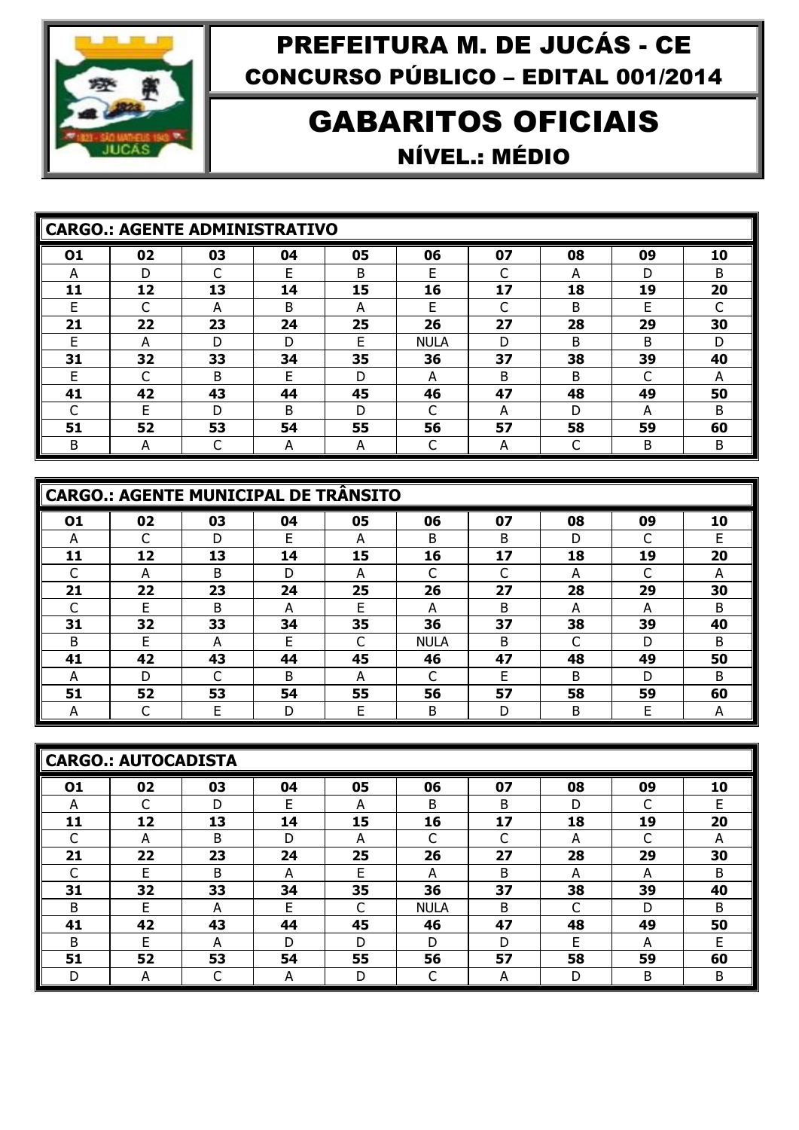

#### GABARITOS OFICIAIS NÍVEL.: MÉDIO

|    |    | <b>CARGO.: AGENTE ADMINISTRATIVO</b> |    |    |             |    |    |    |    |
|----|----|--------------------------------------|----|----|-------------|----|----|----|----|
| 01 | 02 | 03                                   | 04 | 05 | 06          | 07 | 08 | 09 | 10 |
| А  | D  | C                                    | F  | B  | F           | ⌒  | А  | D  | B  |
| 11 | 12 | 13                                   | 14 | 15 | 16          | 17 | 18 | 19 | 20 |
|    |    | А                                    | B  | А  | F           |    | B  | F  |    |
| 21 | 22 | 23                                   | 24 | 25 | 26          | 27 | 28 | 29 | 30 |
| F  | А  | D                                    | D  | F  | <b>NULA</b> | D  | B  | B  | D  |
| 31 | 32 | 33                                   | 34 | 35 | 36          | 37 | 38 | 39 | 40 |
| F  |    | <sub>B</sub>                         | F  | D  | A           | B  | B  | ⌒  | А  |
| 41 | 42 | 43                                   | 44 | 45 | 46          | 47 | 48 | 49 | 50 |
|    | F  | D                                    | B  | D  |             | А  | D  | A  | B  |
| 51 | 52 | 53                                   | 54 | 55 | 56          | 57 | 58 | 59 | 60 |
| B  | А  |                                      | А  | A  |             | A  |    | B  | B  |

|    | <b>CARGO.: AGENTE MUNICIPAL DE TRÂNSITO</b> |    |    |    |             |    |    |    |    |  |  |  |  |
|----|---------------------------------------------|----|----|----|-------------|----|----|----|----|--|--|--|--|
| 01 | 02                                          | 03 | 04 | 05 | 06          | 07 | 08 | 09 | 10 |  |  |  |  |
| A  |                                             | D  | F  | A  | B           | B  | D  |    | F  |  |  |  |  |
| 11 | 12                                          | 13 | 14 | 15 | 16          | 17 | 18 | 19 | 20 |  |  |  |  |
|    | А                                           | B  | D  | A  |             | ⌒  | А  | C  | A  |  |  |  |  |
| 21 | 22                                          | 23 | 24 | 25 | 26          | 27 | 28 | 29 | 30 |  |  |  |  |
|    | F                                           | B  | А  | F  | A           | B  | A  | А  | B  |  |  |  |  |
| 31 | 32                                          | 33 | 34 | 35 | 36          | 37 | 38 | 39 | 40 |  |  |  |  |
| B  | F                                           | А  | F  | ⌒  | <b>NULA</b> | B  | ┌  | D  | B  |  |  |  |  |
| 41 | 42                                          | 43 | 44 | 45 | 46          | 47 | 48 | 49 | 50 |  |  |  |  |
| А  | D                                           |    | B  | A  |             | E  | B  | D  | B  |  |  |  |  |
| 51 | 52                                          | 53 | 54 | 55 | 56          | 57 | 58 | 59 | 60 |  |  |  |  |
| А  |                                             | F  | D  | E  | B           | D  | В  | E  | А  |  |  |  |  |

| <b>CARGO.: AUTOCADISTA</b> |    |        |    |    |             |    |    |    |    |
|----------------------------|----|--------|----|----|-------------|----|----|----|----|
| 01                         | 02 | 03     | 04 | 05 | 06          | 07 | 08 | 09 | 10 |
| A                          |    | D      | E  | A  | B           | B  | D  | C  | F  |
| 11                         | 12 | 13     | 14 | 15 | 16          | 17 | 18 | 19 | 20 |
|                            | A  | B      | D  | А  | ⌒           | C  | А  | ⌒  | А  |
| 21                         | 22 | 23     | 24 | 25 | 26          | 27 | 28 | 29 | 30 |
|                            | F  | B      | А  | E  | A           | B  | A  | A  | B  |
| 31                         | 32 | 33     | 34 | 35 | 36          | 37 | 38 | 39 | 40 |
| B                          | F  | A      | F  | C  | <b>NULA</b> | B  | C  | D  | B  |
| 41                         | 42 | 43     | 44 | 45 | 46          | 47 | 48 | 49 | 50 |
| B                          | F  | А      | D  | D  | D           | D  | F  | A  | F  |
| 51                         | 52 | 53     | 54 | 55 | 56          | 57 | 58 | 59 | 60 |
| D                          | A  | ⌒<br>֊ | А  | D  | ◡           | A  | D  | Β  | B  |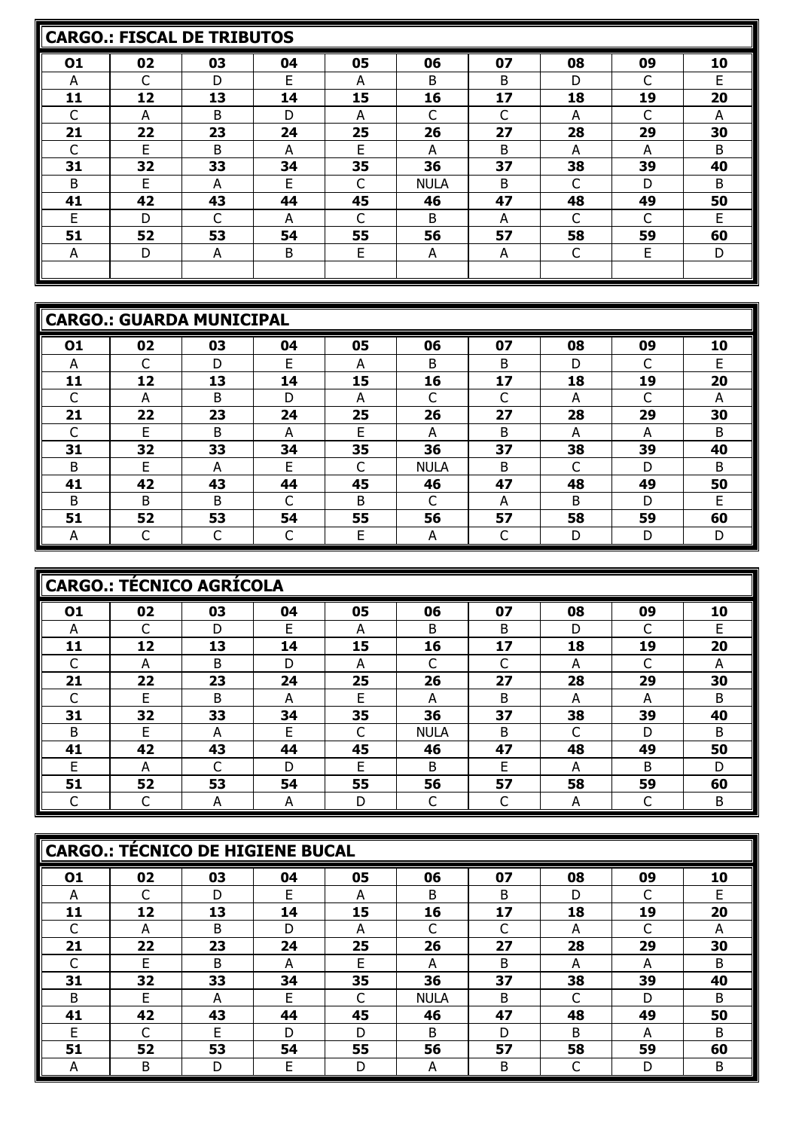|    |    | CARGO.: FISCAL DE TRIBUTOS |    |    |             |    |    |    |    |
|----|----|----------------------------|----|----|-------------|----|----|----|----|
| 01 | 02 | 03                         | 04 | 05 | 06          | 07 | 08 | 09 | 10 |
| A  |    | D                          | E  | A  | B           | B  | D  | C  | F  |
| 11 | 12 | 13                         | 14 | 15 | 16          | 17 | 18 | 19 | 20 |
|    | A  | B                          | D  | А  |             |    | А  | C  | А  |
| 21 | 22 | 23                         | 24 | 25 | 26          | 27 | 28 | 29 | 30 |
|    | F  | <sub>B</sub>               | А  | E  | А           | B  | А  | A  | B  |
| 31 | 32 | 33                         | 34 | 35 | 36          | 37 | 38 | 39 | 40 |
| B  | E  | А                          | E  | C  | <b>NULA</b> | B  | C  | D  | B  |
| 41 | 42 | 43                         | 44 | 45 | 46          | 47 | 48 | 49 | 50 |
| E  | D  |                            | А  |    | B           | A  | C  | C  | F  |
| 51 | 52 | 53                         | 54 | 55 | 56          | 57 | 58 | 59 | 60 |
| A  | D  | A                          | B  | E  | A           | A  | C  | E  | D  |
|    |    |                            |    |    |             |    |    |    |    |

|    | <b>CARGO.: GUARDA MUNICIPAL</b> |              |    |    |             |        |    |    |    |  |  |  |  |
|----|---------------------------------|--------------|----|----|-------------|--------|----|----|----|--|--|--|--|
| 01 | 02                              | 03           | 04 | 05 | 06          | 07     | 08 | 09 | 10 |  |  |  |  |
| A  |                                 | D            | E  | A  | B           | B      | D  | C  | F  |  |  |  |  |
| 11 | 12                              | 13           | 14 | 15 | 16          | 17     | 18 | 19 | 20 |  |  |  |  |
| C  | А                               | <sub>B</sub> | D  | А  | ⌒           | ┌      | А  | ┌  | А  |  |  |  |  |
| 21 | 22                              | 23           | 24 | 25 | 26          | 27     | 28 | 29 | 30 |  |  |  |  |
| ┌  | E                               | B            | А  | E  | А           | B      | A  | А  | B  |  |  |  |  |
| 31 | 32                              | 33           | 34 | 35 | 36          | 37     | 38 | 39 | 40 |  |  |  |  |
| B  | F                               | А            | E  | C  | <b>NULA</b> | B      | r  | D  | B  |  |  |  |  |
| 41 | 42                              | 43           | 44 | 45 | 46          | 47     | 48 | 49 | 50 |  |  |  |  |
| B  | B                               | B.           | C  | B  | $\sqrt{2}$  | А      | B  | D  | F  |  |  |  |  |
| 51 | 52                              | 53           | 54 | 55 | 56          | 57     | 58 | 59 | 60 |  |  |  |  |
| A  | ⌒                               | C            | С  | E  | A           | ┌<br>◡ | D  | D  | D  |  |  |  |  |

|    | CARGO.: TÉCNICO AGRÍCOLA |    |    |    |             |    |    |    |    |  |  |  |  |
|----|--------------------------|----|----|----|-------------|----|----|----|----|--|--|--|--|
| 01 | 02                       | 03 | 04 | 05 | 06          | 07 | 08 | 09 | 10 |  |  |  |  |
| A  |                          | D  | F  | A  | B           | B  | D  |    | F  |  |  |  |  |
| 11 | 12                       | 13 | 14 | 15 | 16          | 17 | 18 | 19 | 20 |  |  |  |  |
|    | А                        | B  | D  | A  |             | ⌒  | A  | C  | A  |  |  |  |  |
| 21 | 22                       | 23 | 24 | 25 | 26          | 27 | 28 | 29 | 30 |  |  |  |  |
|    | F                        | B  | А  | F  | A           | B  | A  | A  | B  |  |  |  |  |
| 31 | 32                       | 33 | 34 | 35 | 36          | 37 | 38 | 39 | 40 |  |  |  |  |
| B  | F                        | А  | F  |    | <b>NULA</b> | B  |    | D  | B  |  |  |  |  |
| 41 | 42                       | 43 | 44 | 45 | 46          | 47 | 48 | 49 | 50 |  |  |  |  |
| E  | А                        |    | D  | F  | B           | E  | А  | B  | D  |  |  |  |  |
| 51 | 52                       | 53 | 54 | 55 | 56          | 57 | 58 | 59 | 60 |  |  |  |  |
|    |                          | А  | А  | D  |             | C  | A  | C  | B  |  |  |  |  |

|    | CARGO.: TÉCNICO DE HIGIENE BUCAL |    |    |    |             |    |    |    |    |  |  |  |  |
|----|----------------------------------|----|----|----|-------------|----|----|----|----|--|--|--|--|
| 01 | 02                               | 03 | 04 | 05 | 06          | 07 | 08 | 09 | 10 |  |  |  |  |
| А  |                                  | D  | F  | A  | B           | B  | D  | ┌  | F  |  |  |  |  |
| 11 | 12                               | 13 | 14 | 15 | 16          | 17 | 18 | 19 | 20 |  |  |  |  |
|    | А                                | B  | D  | А  |             |    | А  | ⌒  | А  |  |  |  |  |
| 21 | 22                               | 23 | 24 | 25 | 26          | 27 | 28 | 29 | 30 |  |  |  |  |
|    | F                                | B  | А  | F  | А           | B  | A  | A  | B  |  |  |  |  |
| 31 | 32                               | 33 | 34 | 35 | 36          | 37 | 38 | 39 | 40 |  |  |  |  |
| B  | F                                | A  | F  | r  | <b>NULA</b> | B  | C  | D  | B  |  |  |  |  |
| 41 | 42                               | 43 | 44 | 45 | 46          | 47 | 48 | 49 | 50 |  |  |  |  |
| F  |                                  | F  | D  | D  | B           | D  | B  | А  | B  |  |  |  |  |
| 51 | 52                               | 53 | 54 | 55 | 56          | 57 | 58 | 59 | 60 |  |  |  |  |
| А  | B                                | D  | E  | D  | А           | B  |    | D  | B  |  |  |  |  |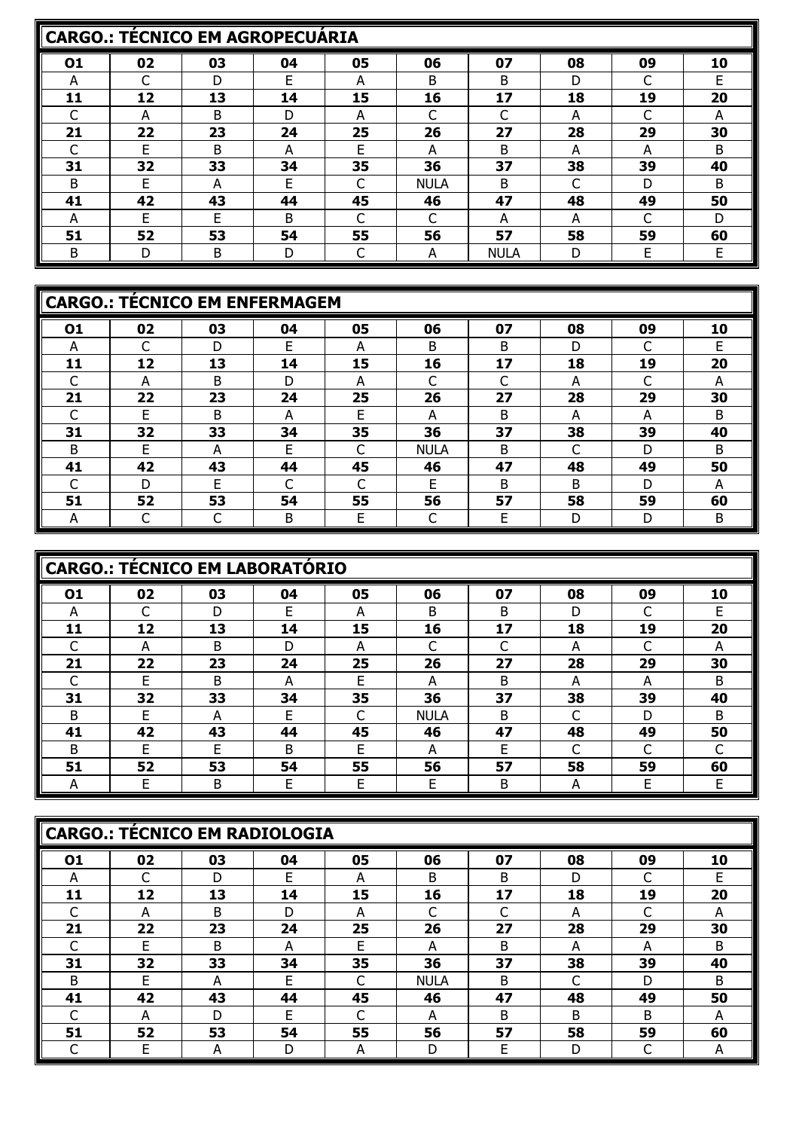|    | <b>CARGO.: TÉCNICO EM AGROPECUÁRIA</b> |    |    |    |             |             |    |    |    |  |  |  |  |
|----|----------------------------------------|----|----|----|-------------|-------------|----|----|----|--|--|--|--|
| 01 | 02                                     | 03 | 04 | 05 | 06          | 07          | 08 | 09 | 10 |  |  |  |  |
| А  |                                        | D  | E  | А  | B           | B           | D  |    |    |  |  |  |  |
| 11 | 12                                     | 13 | 14 | 15 | 16          | 17          | 18 | 19 | 20 |  |  |  |  |
|    | А                                      | B  | D  | А  |             |             | А  |    | А  |  |  |  |  |
| 21 | 22                                     | 23 | 24 | 25 | 26          | 27          | 28 | 29 | 30 |  |  |  |  |
|    | E                                      | B  | А  | Е  | А           | B           | А  | А  | B  |  |  |  |  |
| 31 | 32                                     | 33 | 34 | 35 | 36          | 37          | 38 | 39 | 40 |  |  |  |  |
| B  | F                                      | А  | F  |    | <b>NULA</b> | B.          |    | D  | B  |  |  |  |  |
| 41 | 42                                     | 43 | 44 | 45 | 46          | 47          | 48 | 49 | 50 |  |  |  |  |
| А  | F                                      | F  | B  |    |             | А           | А  | C  | D  |  |  |  |  |
| 51 | 52                                     | 53 | 54 | 55 | 56          | 57          | 58 | 59 | 60 |  |  |  |  |
| B  | D                                      | B  | D  |    | А           | <b>NULA</b> | D  | E  | F  |  |  |  |  |

|    | <b>CARGO.: TÉCNICO EM ENFERMAGEM</b> |    |    |    |             |    |    |    |    |  |  |  |  |
|----|--------------------------------------|----|----|----|-------------|----|----|----|----|--|--|--|--|
| 01 | 02                                   | 03 | 04 | 05 | 06          | 07 | 08 | 09 | 10 |  |  |  |  |
| A  |                                      | D  | F  | A  | B           | B  | D  | C  | F  |  |  |  |  |
| 11 | 12                                   | 13 | 14 | 15 | 16          | 17 | 18 | 19 | 20 |  |  |  |  |
|    | А                                    | B  | D  | A  |             | ⌒  | А  | ┌  | А  |  |  |  |  |
| 21 | 22                                   | 23 | 24 | 25 | 26          | 27 | 28 | 29 | 30 |  |  |  |  |
|    | F                                    | B  | А  | F  | А           | B  | A  | A  | B  |  |  |  |  |
| 31 | 32                                   | 33 | 34 | 35 | 36          | 37 | 38 | 39 | 40 |  |  |  |  |
| B  | F                                    | А  | F  | C  | <b>NULA</b> | B  | ┌  | D  | B  |  |  |  |  |
| 41 | 42                                   | 43 | 44 | 45 | 46          | 47 | 48 | 49 | 50 |  |  |  |  |
|    | D                                    | E  |    |    | F           | B  | B  | D  | А  |  |  |  |  |
| 51 | 52                                   | 53 | 54 | 55 | 56          | 57 | 58 | 59 | 60 |  |  |  |  |
| A  |                                      |    | B  | F  |             | E  | D  | D  | B  |  |  |  |  |

|    | <b>CARGO.: TÉCNICO EM LABORATÓRIO</b> |    |    |    |             |    |    |    |    |  |  |  |  |  |
|----|---------------------------------------|----|----|----|-------------|----|----|----|----|--|--|--|--|--|
| 01 | 02                                    | 03 | 04 | 05 | 06          | 07 | 08 | 09 | 10 |  |  |  |  |  |
| А  |                                       | D  | E  | А  | B           | B  | D  | C  | F  |  |  |  |  |  |
| 11 | 12                                    | 13 | 14 | 15 | 16          | 17 | 18 | 19 | 20 |  |  |  |  |  |
|    | А                                     | B  | D  | A  |             | r  | А  |    | A  |  |  |  |  |  |
| 21 | 22                                    | 23 | 24 | 25 | 26          | 27 | 28 | 29 | 30 |  |  |  |  |  |
|    | F                                     | B  | A  | E  | A           | B  | A  | A  | B  |  |  |  |  |  |
| 31 | 32                                    | 33 | 34 | 35 | 36          | 37 | 38 | 39 | 40 |  |  |  |  |  |
| B  | F                                     | А  | F  | ⌒  | <b>NULA</b> | B  |    | D  | B  |  |  |  |  |  |
| 41 | 42                                    | 43 | 44 | 45 | 46          | 47 | 48 | 49 | 50 |  |  |  |  |  |
| B  | F                                     | F  | B  | F  | А           | E  |    |    |    |  |  |  |  |  |
| 51 | 52                                    | 53 | 54 | 55 | 56          | 57 | 58 | 59 | 60 |  |  |  |  |  |
| A  | F                                     | B  | F  | F  | F           | B  | А  | F  | F  |  |  |  |  |  |

|    | CARGO.: TÉCNICO EM RADIOLOGIA |    |    |    |             |    |    |    |    |  |  |  |  |
|----|-------------------------------|----|----|----|-------------|----|----|----|----|--|--|--|--|
| 01 | 02                            | 03 | 04 | 05 | 06          | 07 | 08 | 09 | 10 |  |  |  |  |
| А  |                               | D  | E  | А  | B           | B  | D  | ┌  |    |  |  |  |  |
| 11 | 12                            | 13 | 14 | 15 | 16          | 17 | 18 | 19 | 20 |  |  |  |  |
|    | А                             | B  | D  | А  |             |    | A  |    | А  |  |  |  |  |
| 21 | 22                            | 23 | 24 | 25 | 26          | 27 | 28 | 29 | 30 |  |  |  |  |
|    | F                             | B  | А  | E  | А           | B  | A  | A  | B  |  |  |  |  |
| 31 | 32                            | 33 | 34 | 35 | 36          | 37 | 38 | 39 | 40 |  |  |  |  |
| B  | F                             | А  | F  | C  | <b>NULA</b> | B  | C  | D  | B  |  |  |  |  |
| 41 | 42                            | 43 | 44 | 45 | 46          | 47 | 48 | 49 | 50 |  |  |  |  |
|    | А                             | D  | F. | ┌  | А           | B  | B  | B  | А  |  |  |  |  |
| 51 | 52                            | 53 | 54 | 55 | 56          | 57 | 58 | 59 | 60 |  |  |  |  |
|    | E                             | A  | D  | A  | D           | E  | D  | ◠  | A  |  |  |  |  |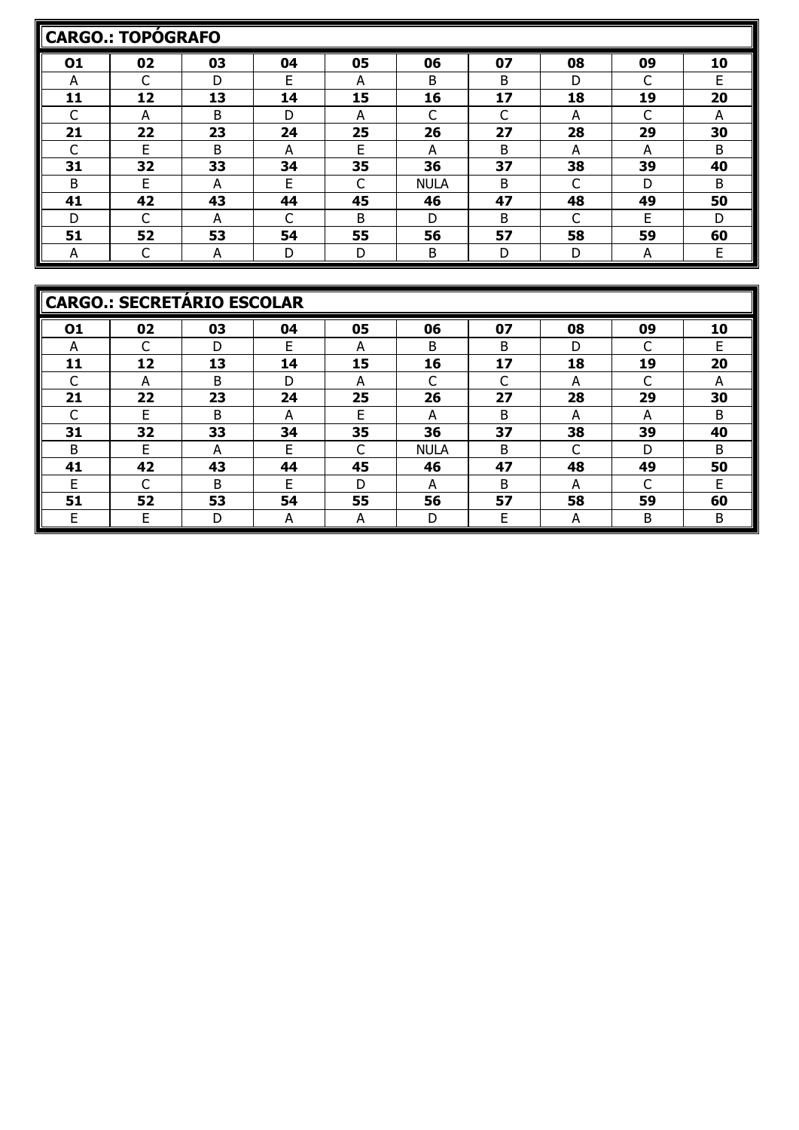|    | <b>CARGO.: TOPÓGRAFO</b> |    |    |    |             |    |    |    |    |
|----|--------------------------|----|----|----|-------------|----|----|----|----|
| 01 | 02                       | 03 | 04 | 05 | 06          | 07 | 08 | 09 | 10 |
| A  |                          | D  | E  | А  | B           | B  | D  | C  | F  |
| 11 | 12                       | 13 | 14 | 15 | 16          | 17 | 18 | 19 | 20 |
|    | А                        | B  | D  | А  |             |    | А  |    | А  |
| 21 | 22                       | 23 | 24 | 25 | 26          | 27 | 28 | 29 | 30 |
|    | F                        | B  | А  | E  | A           | B  | A  | A  | B  |
| 31 | 32                       | 33 | 34 | 35 | 36          | 37 | 38 | 39 | 40 |
| B  | F                        | A  | F  |    | <b>NULA</b> | B  |    | D  | B  |
| 41 | 42                       | 43 | 44 | 45 | 46          | 47 | 48 | 49 | 50 |
| D  |                          | A  | ┌  | B  | D           | B  | C  | F  | D  |
| 51 | 52                       | 53 | 54 | 55 | 56          | 57 | 58 | 59 | 60 |
| A  |                          | A  | D  | D  | Β           | D  | D  | A  | Е  |

|    | <b>CARGO.: SECRETÁRIO ESCOLAR</b> |    |    |    |             |    |    |    |    |  |  |  |  |
|----|-----------------------------------|----|----|----|-------------|----|----|----|----|--|--|--|--|
| 01 | 02                                | 03 | 04 | 05 | 06          | 07 | 08 | 09 | 10 |  |  |  |  |
| A  |                                   | D  | E  | A  | В           | B  | D  | C  | E  |  |  |  |  |
| 11 | 12                                | 13 | 14 | 15 | 16          | 17 | 18 | 19 | 20 |  |  |  |  |
| C  | A                                 | B  | D  | А  | ⌒           | ⌒  | А  | ┌  | А  |  |  |  |  |
| 21 | 22                                | 23 | 24 | 25 | 26          | 27 | 28 | 29 | 30 |  |  |  |  |
|    | F                                 | B  | А  | E  | A           | B  | A  | А  | B  |  |  |  |  |
| 31 | 32                                | 33 | 34 | 35 | 36          | 37 | 38 | 39 | 40 |  |  |  |  |
| B  | F                                 | А  | E  | C  | <b>NULA</b> | B  | ┌  | D  | B  |  |  |  |  |
| 41 | 42                                | 43 | 44 | 45 | 46          | 47 | 48 | 49 | 50 |  |  |  |  |
| F  | ◠                                 | B  | F  | D  | А           | B  | A  | C  | F  |  |  |  |  |
| 51 | 52                                | 53 | 54 | 55 | 56          | 57 | 58 | 59 | 60 |  |  |  |  |
| E. | Е                                 | D  | А  | A  | D           | E  | A  | B  | B  |  |  |  |  |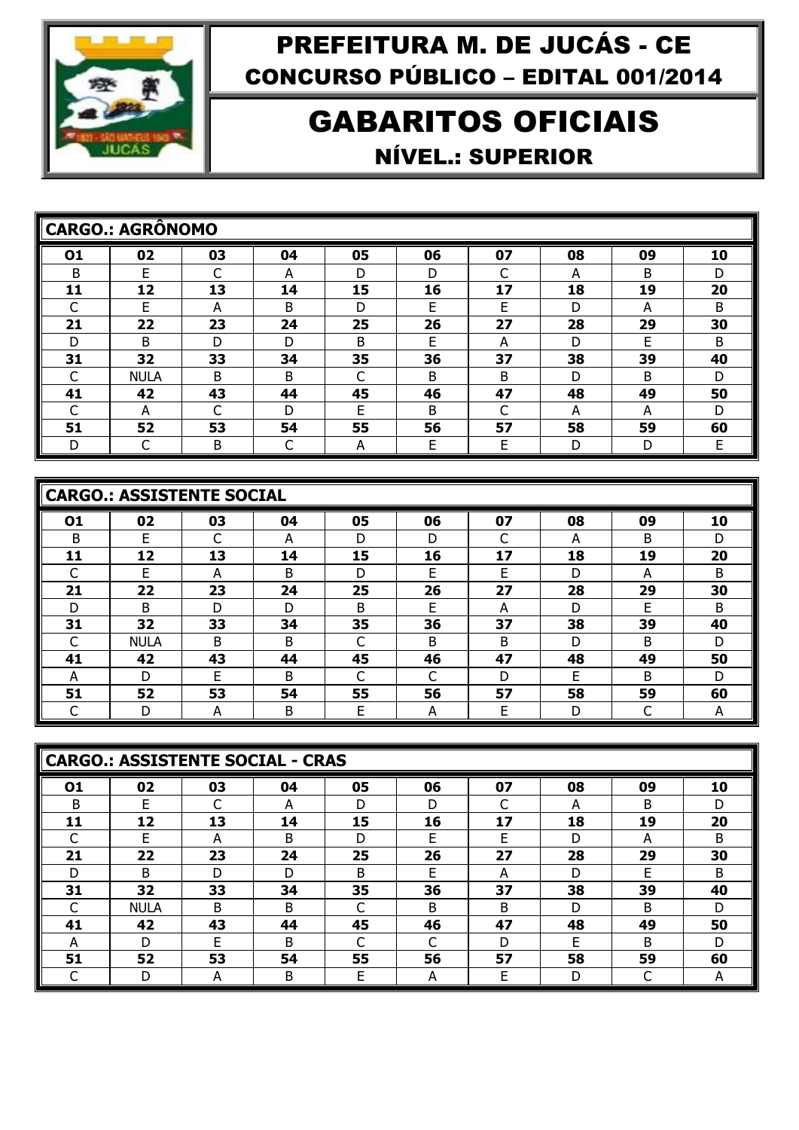

# GABARITOS OFICIAIS NÍVEL.: SUPERIOR

|    | <b>CARGO.: AGRÔNOMO</b> |    |    |    |    |    |    |    |    |
|----|-------------------------|----|----|----|----|----|----|----|----|
| 01 | 02                      | 03 | 04 | 05 | 06 | 07 | 08 | 09 | 10 |
| B  | F                       | ⌒  | А  | D  | D  | ◠  | А  | B  | D  |
| 11 | 12                      | 13 | 14 | 15 | 16 | 17 | 18 | 19 | 20 |
|    | F                       | А  | Β  | D  | F  | E  | D  | A  | B  |
| 21 | 22                      | 23 | 24 | 25 | 26 | 27 | 28 | 29 | 30 |
| D  | B                       | D  | D  | B  | F  | A  | D  | F  | B  |
| 31 | 32                      | 33 | 34 | 35 | 36 | 37 | 38 | 39 | 40 |
| C  | <b>NULA</b>             | B  | B  |    | B  | B  | D  | B  | D  |
| 41 | 42                      | 43 | 44 | 45 | 46 | 47 | 48 | 49 | 50 |
|    | А                       |    | D  | F  | B  | ⌒  | А  | A  | D  |
| 51 | 52                      | 53 | 54 | 55 | 56 | 57 | 58 | 59 | 60 |
| D  |                         | B  |    | A  | F  | E  | D  | D  | F  |

|    | <b>CARGO.: ASSISTENTE SOCIAL</b> |    |    |              |    |    |    |    |    |  |  |  |  |
|----|----------------------------------|----|----|--------------|----|----|----|----|----|--|--|--|--|
| 01 | 02                               | 03 | 04 | 05           | 06 | 07 | 08 | 09 | 10 |  |  |  |  |
| B  | F.                               |    | А  | D            | D  | r  | А  | B  | D  |  |  |  |  |
| 11 | 12                               | 13 | 14 | 15           | 16 | 17 | 18 | 19 | 20 |  |  |  |  |
|    | F                                | А  | B  | D            | F  | E  | D  | A  | B  |  |  |  |  |
| 21 | 22                               | 23 | 24 | 25           | 26 | 27 | 28 | 29 | 30 |  |  |  |  |
| D  | <sub>B</sub>                     | D  | D  | <sub>B</sub> | F  | А  | D  | F  | B  |  |  |  |  |
| 31 | 32                               | 33 | 34 | 35           | 36 | 37 | 38 | 39 | 40 |  |  |  |  |
|    | <b>NULA</b>                      | B  | B  |              | B  | B  | D  | B  | D  |  |  |  |  |
| 41 | 42                               | 43 | 44 | 45           | 46 | 47 | 48 | 49 | 50 |  |  |  |  |
| A  | D                                | E  | B  |              |    | D  | E  | B  | D  |  |  |  |  |
| 51 | 52                               | 53 | 54 | 55           | 56 | 57 | 58 | 59 | 60 |  |  |  |  |
|    | D                                | А  | B  | E            | А  | Е  | D  | ┌  | A  |  |  |  |  |

|    | <b>CARGO.: ASSISTENTE SOCIAL - CRAS</b> |    |    |    |    |    |    |    |              |  |  |  |  |
|----|-----------------------------------------|----|----|----|----|----|----|----|--------------|--|--|--|--|
| 01 | 02                                      | 03 | 04 | 05 | 06 | 07 | 08 | 09 | 10           |  |  |  |  |
| B  | E                                       | ┌  | А  | D  | D  | ┌  | A  | B  | D            |  |  |  |  |
| 11 | 12                                      | 13 | 14 | 15 | 16 | 17 | 18 | 19 | 20           |  |  |  |  |
|    | F                                       | A  | B  | D  | F  | F  | D  | A  | <sub>B</sub> |  |  |  |  |
| 21 | 22                                      | 23 | 24 | 25 | 26 | 27 | 28 | 29 | 30           |  |  |  |  |
| D  | B                                       | D  | D  | B  | F  | А  | D  | F  | B.           |  |  |  |  |
| 31 | 32                                      | 33 | 34 | 35 | 36 | 37 | 38 | 39 | 40           |  |  |  |  |
|    | <b>NULA</b>                             | B  | B  | C  | B  | B  | D  | B  | D            |  |  |  |  |
| 41 | 42                                      | 43 | 44 | 45 | 46 | 47 | 48 | 49 | 50           |  |  |  |  |
| А  | D                                       | E  | B  |    |    | D  | F  | B  | D            |  |  |  |  |
| 51 | 52                                      | 53 | 54 | 55 | 56 | 57 | 58 | 59 | 60           |  |  |  |  |
|    |                                         | A  | B  | Е  | A  | E  | D  |    | A            |  |  |  |  |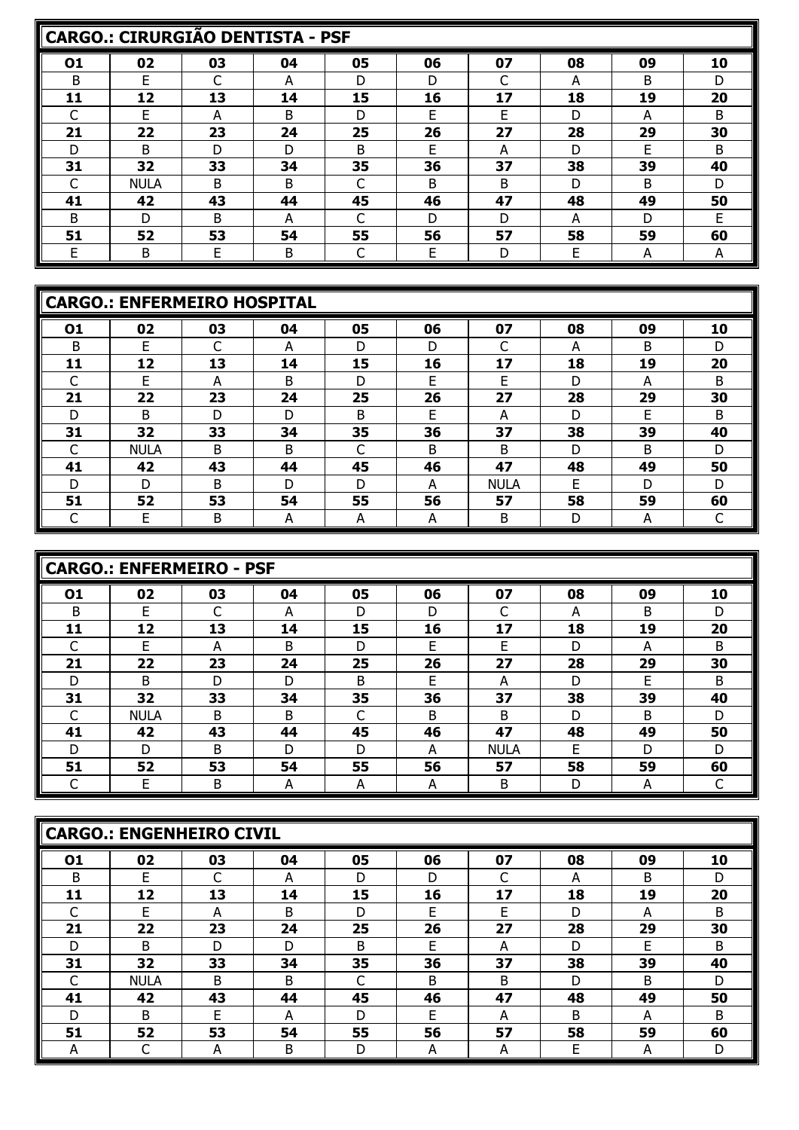|    | <b>CARGO.: CIRURGIÃO DENTISTA - PSF</b> |    |    |    |    |    |    |    |    |  |  |  |  |
|----|-----------------------------------------|----|----|----|----|----|----|----|----|--|--|--|--|
| 01 | 02                                      | 03 | 04 | 05 | 06 | 07 | 08 | 09 | 10 |  |  |  |  |
| B  | F                                       |    | А  | D  | D  |    | А  | B  | D  |  |  |  |  |
| 11 | 12                                      | 13 | 14 | 15 | 16 | 17 | 18 | 19 | 20 |  |  |  |  |
|    | F                                       | А  | B  | D  | F  | F  | D  | A  | B  |  |  |  |  |
| 21 | 22                                      | 23 | 24 | 25 | 26 | 27 | 28 | 29 | 30 |  |  |  |  |
| D  | B                                       | D  | D  | B  | F  | А  | D  | E  | B  |  |  |  |  |
| 31 | 32                                      | 33 | 34 | 35 | 36 | 37 | 38 | 39 | 40 |  |  |  |  |
|    | <b>NULA</b>                             | B. | B  |    | B  | B  | D  | B. | D  |  |  |  |  |
| 41 | 42                                      | 43 | 44 | 45 | 46 | 47 | 48 | 49 | 50 |  |  |  |  |
| B  | D                                       | B  | А  |    | D  | D  | А  | D  | F  |  |  |  |  |
| 51 | 52                                      | 53 | 54 | 55 | 56 | 57 | 58 | 59 | 60 |  |  |  |  |
| E  | B                                       | E  | B  |    | E  | D  | E  | А  | A  |  |  |  |  |

|    | <b>CARGO.: ENFERMEIRO HOSPITAL</b> |    |    |    |    |             |    |    |    |  |  |  |  |
|----|------------------------------------|----|----|----|----|-------------|----|----|----|--|--|--|--|
| 01 | 02                                 | 03 | 04 | 05 | 06 | 07          | 08 | 09 | 10 |  |  |  |  |
| B  | E                                  |    | A  | D  | D  | ┌           | A  | B  | D  |  |  |  |  |
| 11 | 12                                 | 13 | 14 | 15 | 16 | 17          | 18 | 19 | 20 |  |  |  |  |
|    | E                                  | А  | B  | D  | E  | E           | D  | А  | B  |  |  |  |  |
| 21 | 22                                 | 23 | 24 | 25 | 26 | 27          | 28 | 29 | 30 |  |  |  |  |
| D  | B                                  | D  | D  | B  | F  | А           | D  | F  | B  |  |  |  |  |
| 31 | 32                                 | 33 | 34 | 35 | 36 | 37          | 38 | 39 | 40 |  |  |  |  |
|    | <b>NULA</b>                        | B  | B  |    | B  | B           | D  | B  | D  |  |  |  |  |
| 41 | 42                                 | 43 | 44 | 45 | 46 | 47          | 48 | 49 | 50 |  |  |  |  |
| D  | D                                  | B  | D  | D  | А  | <b>NULA</b> | E  | D  | D  |  |  |  |  |
| 51 | 52                                 | 53 | 54 | 55 | 56 | 57          | 58 | 59 | 60 |  |  |  |  |
|    | E                                  | B  | А  | A  | A  | B           | D  | A  |    |  |  |  |  |

|    | <b>CARGO.: ENFERMEIRO - PSF</b> |    |    |    |    |             |    |    |    |  |  |  |  |  |
|----|---------------------------------|----|----|----|----|-------------|----|----|----|--|--|--|--|--|
| 01 | 02                              | 03 | 04 | 05 | 06 | 07          | 08 | 09 | 10 |  |  |  |  |  |
| B  | F                               | C  | A  | D  | D  | ⌒           | A  | B  | D  |  |  |  |  |  |
| 11 | 12                              | 13 | 14 | 15 | 16 | 17          | 18 | 19 | 20 |  |  |  |  |  |
|    | F                               | A  | B  | D  | F  | F           | D  | A  | B  |  |  |  |  |  |
| 21 | 22                              | 23 | 24 | 25 | 26 | 27          | 28 | 29 | 30 |  |  |  |  |  |
| D  | B                               | D  | D  | B  | F  | А           | D  | F  | B  |  |  |  |  |  |
| 31 | 32                              | 33 | 34 | 35 | 36 | 37          | 38 | 39 | 40 |  |  |  |  |  |
|    | <b>NULA</b>                     | B  | B  | ⌒  | B  | B           | D  | B  | D  |  |  |  |  |  |
| 41 | 42                              | 43 | 44 | 45 | 46 | 47          | 48 | 49 | 50 |  |  |  |  |  |
| D  | D                               | B  | D  | D  | A  | <b>NULA</b> | E  | D  | D  |  |  |  |  |  |
| 51 | 52                              | 53 | 54 | 55 | 56 | 57          | 58 | 59 | 60 |  |  |  |  |  |
|    | Е                               | B  | A  | A  | A  | B           | D  | А  |    |  |  |  |  |  |

|    | <b>CARGO.: ENGENHEIRO CIVIL</b> |    |    |    |    |    |    |    |    |  |  |  |  |  |
|----|---------------------------------|----|----|----|----|----|----|----|----|--|--|--|--|--|
| 01 | 02                              | 03 | 04 | 05 | 06 | 07 | 08 | 09 | 10 |  |  |  |  |  |
| в  | F                               |    | А  | D  | D  | ⌒  | A  | B  | D  |  |  |  |  |  |
| 11 | 12                              | 13 | 14 | 15 | 16 | 17 | 18 | 19 | 20 |  |  |  |  |  |
|    | F                               | А  | B  | D  | F  | E  | D  | A  | B  |  |  |  |  |  |
| 21 | 22                              | 23 | 24 | 25 | 26 | 27 | 28 | 29 | 30 |  |  |  |  |  |
| D  | B                               | D  | D  | B  | F  | A  | D  | E  | B  |  |  |  |  |  |
| 31 | 32                              | 33 | 34 | 35 | 36 | 37 | 38 | 39 | 40 |  |  |  |  |  |
|    | <b>NULA</b>                     | B  | B  |    | B  | B  | D  | B  | D  |  |  |  |  |  |
| 41 | 42                              | 43 | 44 | 45 | 46 | 47 | 48 | 49 | 50 |  |  |  |  |  |
| D  | B                               | F  | А  | D  | F  | A  | B  | A  | B  |  |  |  |  |  |
| 51 | 52                              | 53 | 54 | 55 | 56 | 57 | 58 | 59 | 60 |  |  |  |  |  |
| A  |                                 | A  | Β  | D  | А  | A  | E  | A  | D  |  |  |  |  |  |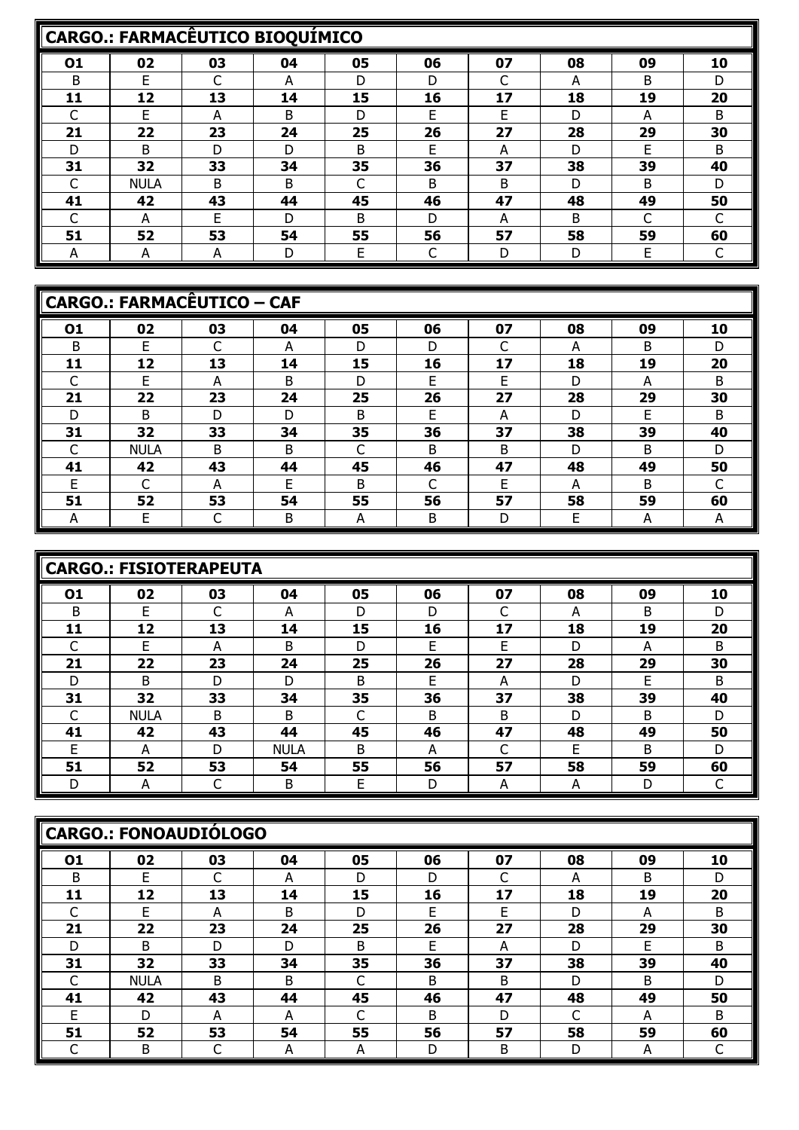|    | <b>CARGO.: FARMACÊUTICO BIOQUIMICO</b> |    |    |              |    |              |    |    |    |  |  |  |  |
|----|----------------------------------------|----|----|--------------|----|--------------|----|----|----|--|--|--|--|
| 01 | 02                                     | 03 | 04 | 05           | 06 | 07           | 08 | 09 | 10 |  |  |  |  |
| B  | F                                      |    | А  | D            | D  |              | А  | B  | D  |  |  |  |  |
| 11 | 12                                     | 13 | 14 | 15           | 16 | 17           | 18 | 19 | 20 |  |  |  |  |
|    | F.                                     | А  | B  | D            | F  | F            | D  | А  | B  |  |  |  |  |
| 21 | 22                                     | 23 | 24 | 25           | 26 | 27           | 28 | 29 | 30 |  |  |  |  |
| D  | B                                      | D  | D  | B            | F  | А            | D  | E  | B  |  |  |  |  |
| 31 | 32                                     | 33 | 34 | 35           | 36 | 37           | 38 | 39 | 40 |  |  |  |  |
|    | <b>NULA</b>                            | B. | B  |              | B  | <sub>B</sub> | D  | B  | D  |  |  |  |  |
| 41 | 42                                     | 43 | 44 | 45           | 46 | 47           | 48 | 49 | 50 |  |  |  |  |
|    | А                                      | F. | D  | <sub>B</sub> | D  | А            | B  | C  |    |  |  |  |  |
| 51 | 52                                     | 53 | 54 | 55           | 56 | 57           | 58 | 59 | 60 |  |  |  |  |
| A  | А                                      | А  | D  | Е            |    | D            | D  | Е  |    |  |  |  |  |

|    | <b>CARGO.: FARMACÊUTICO - CAF</b> |    |    |    |    |    |    |    |    |  |  |  |  |
|----|-----------------------------------|----|----|----|----|----|----|----|----|--|--|--|--|
| 01 | 02                                | 03 | 04 | 05 | 06 | 07 | 08 | 09 | 10 |  |  |  |  |
| B  | F                                 |    | А  | D  | D  | ┌  | A  | B  | D  |  |  |  |  |
| 11 | 12                                | 13 | 14 | 15 | 16 | 17 | 18 | 19 | 20 |  |  |  |  |
| ┌  | E                                 | A  | B  | D  | F. | E  | D  | A  | B  |  |  |  |  |
| 21 | 22                                | 23 | 24 | 25 | 26 | 27 | 28 | 29 | 30 |  |  |  |  |
| D  | B                                 | D  | D  | B  | F  | A  | D  | E  | B  |  |  |  |  |
| 31 | 32                                | 33 | 34 | 35 | 36 | 37 | 38 | 39 | 40 |  |  |  |  |
|    | <b>NULA</b>                       | B  | B  |    | B  | B  | D  | B  | D  |  |  |  |  |
| 41 | 42                                | 43 | 44 | 45 | 46 | 47 | 48 | 49 | 50 |  |  |  |  |
| E  | ┌                                 | А  | F  | B  |    | F  | А  | B  | ┌  |  |  |  |  |
| 51 | 52                                | 53 | 54 | 55 | 56 | 57 | 58 | 59 | 60 |  |  |  |  |
| A  | E                                 |    | Β  | A  | B  | D  | E  | А  | А  |  |  |  |  |

|    | <b>CARGO.: FISIOTERAPEUTA</b> |    |             |    |    |    |    |    |    |  |  |  |  |  |
|----|-------------------------------|----|-------------|----|----|----|----|----|----|--|--|--|--|--|
| 01 | 02                            | 03 | 04          | 05 | 06 | 07 | 08 | 09 | 10 |  |  |  |  |  |
| B  | F                             | ⌒  | А           | D  | D  | ⌒  | А  | B  | D  |  |  |  |  |  |
| 11 | 12                            | 13 | 14          | 15 | 16 | 17 | 18 | 19 | 20 |  |  |  |  |  |
|    | E                             | А  | B           | D  | F  | Е  | D  | A  | B  |  |  |  |  |  |
| 21 | 22                            | 23 | 24          | 25 | 26 | 27 | 28 | 29 | 30 |  |  |  |  |  |
| D  | B                             | D  | D           | B  | F  | A  | D  | F  | B  |  |  |  |  |  |
| 31 | 32                            | 33 | 34          | 35 | 36 | 37 | 38 | 39 | 40 |  |  |  |  |  |
|    | <b>NULA</b>                   | B  | B           |    | B  | B  | D  | B  | D  |  |  |  |  |  |
| 41 | 42                            | 43 | 44          | 45 | 46 | 47 | 48 | 49 | 50 |  |  |  |  |  |
| E  | А                             | D  | <b>NULA</b> | B  | А  |    | F  | B  | D  |  |  |  |  |  |
| 51 | 52                            | 53 | 54          | 55 | 56 | 57 | 58 | 59 | 60 |  |  |  |  |  |
|    | А                             |    | B           | E  | D  | А  | А  | D  |    |  |  |  |  |  |

|    | <b>CARGO.: FONOAUDIÓLOGO</b> |              |    |    |    |    |    |    |    |  |  |  |  |  |
|----|------------------------------|--------------|----|----|----|----|----|----|----|--|--|--|--|--|
| 01 | 02                           | 03           | 04 | 05 | 06 | 07 | 08 | 09 | 10 |  |  |  |  |  |
| B  | F                            |              | A  | D  | D  |    | A  | B  | D  |  |  |  |  |  |
| 11 | 12                           | 13           | 14 | 15 | 16 | 17 | 18 | 19 | 20 |  |  |  |  |  |
|    | F                            | А            | B  | D  | F  | E  | D  | А  | B  |  |  |  |  |  |
| 21 | 22                           | 23           | 24 | 25 | 26 | 27 | 28 | 29 | 30 |  |  |  |  |  |
| D  | B                            | D            | D  | B  | E  | A  | D  | E  | B  |  |  |  |  |  |
| 31 | 32                           | 33           | 34 | 35 | 36 | 37 | 38 | 39 | 40 |  |  |  |  |  |
|    | <b>NULA</b>                  | <sub>B</sub> | B  | C  | B  | B  | D  | B  | D  |  |  |  |  |  |
| 41 | 42                           | 43           | 44 | 45 | 46 | 47 | 48 | 49 | 50 |  |  |  |  |  |
| E  | D                            | А            | А  | ┌  | B  | D  | ┌  | А  | B  |  |  |  |  |  |
| 51 | 52                           | 53           | 54 | 55 | 56 | 57 | 58 | 59 | 60 |  |  |  |  |  |
|    | Β                            |              | A  | A  | D  | В  | D  | A  |    |  |  |  |  |  |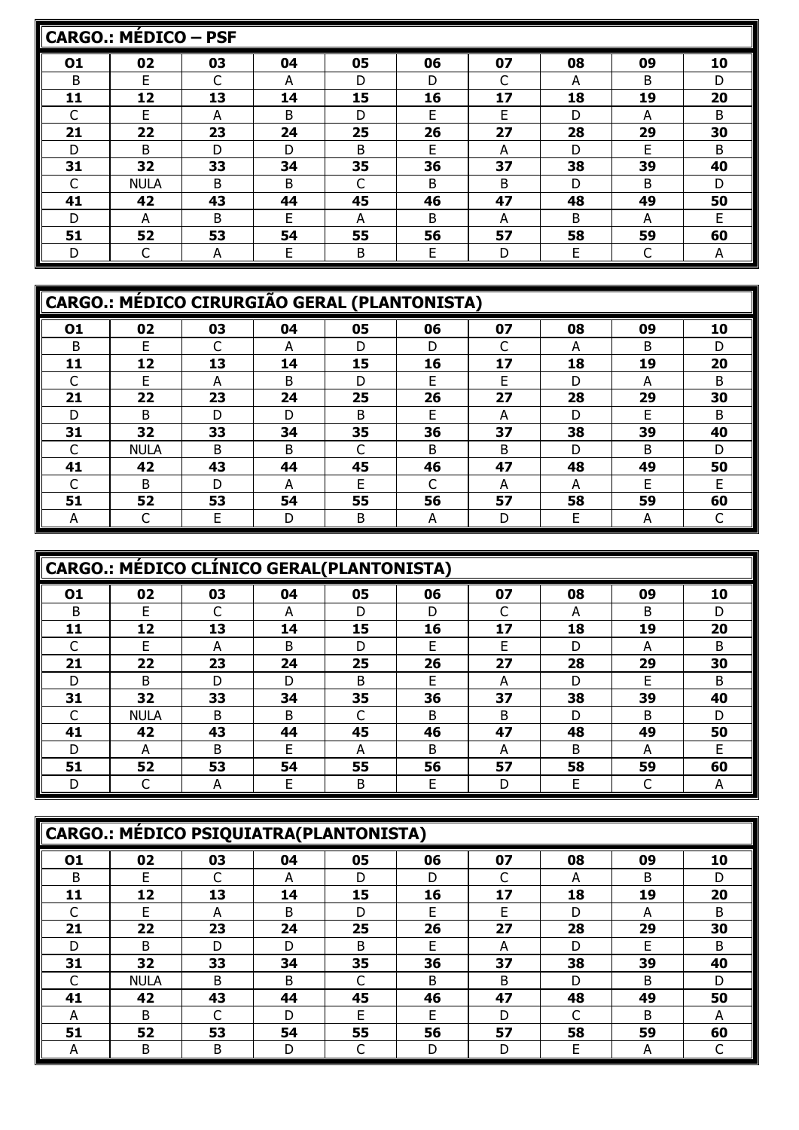|    | <b>CARGO.: MÉDICO - PSF</b> |              |    |    |    |    |    |    |    |  |  |  |  |  |
|----|-----------------------------|--------------|----|----|----|----|----|----|----|--|--|--|--|--|
| 01 | 02                          | 03           | 04 | 05 | 06 | 07 | 08 | 09 | 10 |  |  |  |  |  |
| B  | F                           | ⌒            | А  | D  | D  | ⌒  | А  | B  | D  |  |  |  |  |  |
| 11 | 12                          | 13           | 14 | 15 | 16 | 17 | 18 | 19 | 20 |  |  |  |  |  |
|    | F                           | A            | B  | D  | E  | F  | D  | A  | B  |  |  |  |  |  |
| 21 | 22                          | 23           | 24 | 25 | 26 | 27 | 28 | 29 | 30 |  |  |  |  |  |
| D  | B                           | D            | D  | B  | E  | А  | D  | E  | B  |  |  |  |  |  |
| 31 | 32                          | 33           | 34 | 35 | 36 | 37 | 38 | 39 | 40 |  |  |  |  |  |
|    | <b>NULA</b>                 | B            | B  | ◠  | B  | B  | D  | B  | D  |  |  |  |  |  |
| 41 | 42                          | 43           | 44 | 45 | 46 | 47 | 48 | 49 | 50 |  |  |  |  |  |
| D  | А                           | <sub>B</sub> | F  | А  | B  | А  | B  | A  | F  |  |  |  |  |  |
| 51 | 52                          | 53           | 54 | 55 | 56 | 57 | 58 | 59 | 60 |  |  |  |  |  |
| D  |                             | A            | E  | B  | E  | D  | E  | C  | A  |  |  |  |  |  |

|    | CARGO.: MÉDICO CIRURGIÃO GERAL (PLANTONISTA) |    |    |    |    |    |    |    |    |  |  |  |  |
|----|----------------------------------------------|----|----|----|----|----|----|----|----|--|--|--|--|
| 01 | 02                                           | 03 | 04 | 05 | 06 | 07 | 08 | 09 | 10 |  |  |  |  |
| B  | F                                            |    | А  | D  | D  | ┌  | A  | B  | D  |  |  |  |  |
| 11 | 12                                           | 13 | 14 | 15 | 16 | 17 | 18 | 19 | 20 |  |  |  |  |
|    | F                                            | А  | B  | D  | F  | F  | D  | A  | B  |  |  |  |  |
| 21 | 22                                           | 23 | 24 | 25 | 26 | 27 | 28 | 29 | 30 |  |  |  |  |
| D  | B                                            | D  | D  | B  | F  | А  | D  | F  | B  |  |  |  |  |
| 31 | 32                                           | 33 | 34 | 35 | 36 | 37 | 38 | 39 | 40 |  |  |  |  |
|    | <b>NULA</b>                                  | B  | B  |    | B  | B  | D  | B  | D  |  |  |  |  |
| 41 | 42                                           | 43 | 44 | 45 | 46 | 47 | 48 | 49 | 50 |  |  |  |  |
|    | B                                            | D  | A  | E  |    | A  | A  | E  | F  |  |  |  |  |
| 51 | 52                                           | 53 | 54 | 55 | 56 | 57 | 58 | 59 | 60 |  |  |  |  |
| А  |                                              | F  | D  | B  | A  | D  | E  | A  |    |  |  |  |  |

|    | <b>CARGO.: MÉDICO CLÍNICO GERAL(PLANTONISTA)</b> |    |    |    |              |    |    |    |    |  |  |  |  |
|----|--------------------------------------------------|----|----|----|--------------|----|----|----|----|--|--|--|--|
| 01 | 02                                               | 03 | 04 | 05 | 06           | 07 | 08 | 09 | 10 |  |  |  |  |
| B  | F                                                |    | А  | D  | D            | r  | A  | B  | D  |  |  |  |  |
| 11 | 12                                               | 13 | 14 | 15 | 16           | 17 | 18 | 19 | 20 |  |  |  |  |
|    | F                                                | А  | B  | D  | F            | Е  | D  | А  | B  |  |  |  |  |
| 21 | 22                                               | 23 | 24 | 25 | 26           | 27 | 28 | 29 | 30 |  |  |  |  |
| D  | B                                                | D  | D  | B  | E            | А  | D  | F  | B  |  |  |  |  |
| 31 | 32                                               | 33 | 34 | 35 | 36           | 37 | 38 | 39 | 40 |  |  |  |  |
|    | <b>NULA</b>                                      | B  | B  | C  | B            | B  | D  | B  | D  |  |  |  |  |
| 41 | 42                                               | 43 | 44 | 45 | 46           | 47 | 48 | 49 | 50 |  |  |  |  |
| D  | А                                                | B. | F  | A  | <sub>B</sub> | А  | B  | А  | F  |  |  |  |  |
| 51 | 52                                               | 53 | 54 | 55 | 56           | 57 | 58 | 59 | 60 |  |  |  |  |
|    |                                                  | А  | E  | B  | E            | D  | E  | C  | A  |  |  |  |  |

|    | CARGO.: MÉDICO PSIQUIATRA(PLANTONISTA) |    |    |    |    |    |    |    |    |  |  |  |  |
|----|----------------------------------------|----|----|----|----|----|----|----|----|--|--|--|--|
| 01 | 02                                     | 03 | 04 | 05 | 06 | 07 | 08 | 09 | 10 |  |  |  |  |
| B  | F                                      |    | A  | D  | D  | ⌒  | A  | B  | D  |  |  |  |  |
| 11 | 12                                     | 13 | 14 | 15 | 16 | 17 | 18 | 19 | 20 |  |  |  |  |
|    | F                                      | А  | B  | D  | F  | E  | D  | A  | B  |  |  |  |  |
| 21 | 22                                     | 23 | 24 | 25 | 26 | 27 | 28 | 29 | 30 |  |  |  |  |
| D  | B                                      | D  | D  | B  | F  | A  | D  | E  | B  |  |  |  |  |
| 31 | 32                                     | 33 | 34 | 35 | 36 | 37 | 38 | 39 | 40 |  |  |  |  |
|    | <b>NULA</b>                            | B  | B  |    | B  | B  | D  | B  | D  |  |  |  |  |
| 41 | 42                                     | 43 | 44 | 45 | 46 | 47 | 48 | 49 | 50 |  |  |  |  |
| А  | B                                      |    | D  | F  | F  | D  | ┌  | B  | А  |  |  |  |  |
| 51 | 52                                     | 53 | 54 | 55 | 56 | 57 | 58 | 59 | 60 |  |  |  |  |
| А  | B                                      | B  | D  |    | D  | D  | E  | A  |    |  |  |  |  |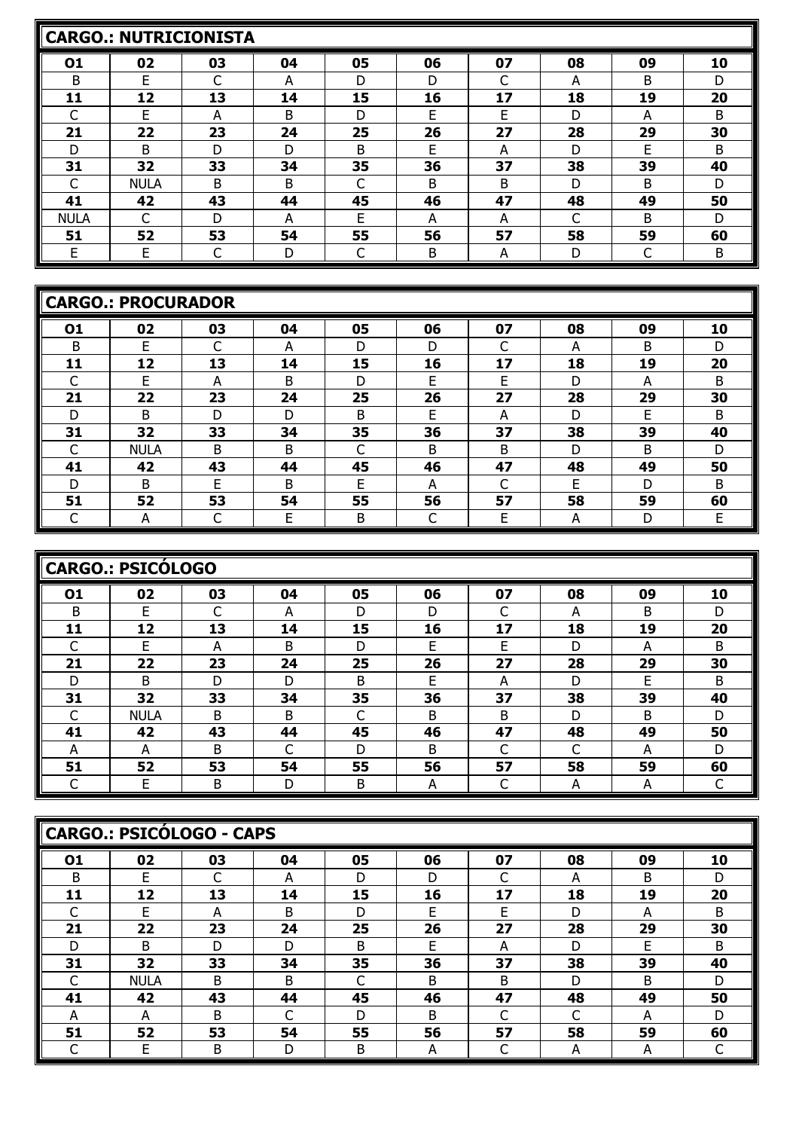|             | <b>CARGO.: NUTRICIONISTA</b> |    |    |    |    |    |    |    |    |  |  |  |  |  |
|-------------|------------------------------|----|----|----|----|----|----|----|----|--|--|--|--|--|
| 01          | 02                           | 03 | 04 | 05 | 06 | 07 | 08 | 09 | 10 |  |  |  |  |  |
| B           | E                            | ⌒  | A  | D  | D  |    | A  | B  | D  |  |  |  |  |  |
| 11          | 12                           | 13 | 14 | 15 | 16 | 17 | 18 | 19 | 20 |  |  |  |  |  |
|             | F                            | А  | B  | D  | F  | F  | D  | А  | B  |  |  |  |  |  |
| 21          | 22                           | 23 | 24 | 25 | 26 | 27 | 28 | 29 | 30 |  |  |  |  |  |
| D           | B                            | D  | D  | B  | F  | А  | D  | F  | B  |  |  |  |  |  |
| 31          | 32                           | 33 | 34 | 35 | 36 | 37 | 38 | 39 | 40 |  |  |  |  |  |
|             | <b>NULA</b>                  | B  | B  |    | B  | B  | D  | B  | D  |  |  |  |  |  |
| 41          | 42                           | 43 | 44 | 45 | 46 | 47 | 48 | 49 | 50 |  |  |  |  |  |
| <b>NULA</b> |                              | D  | A  | F  | A  | А  | C  | B  | D  |  |  |  |  |  |
| 51          | 52                           | 53 | 54 | 55 | 56 | 57 | 58 | 59 | 60 |  |  |  |  |  |
| F           | F                            |    | D  |    | B  | A  | D  | ┌  | B  |  |  |  |  |  |

|    | <b>CARGO.: PROCURADOR</b> |    |    |    |    |            |    |    |    |
|----|---------------------------|----|----|----|----|------------|----|----|----|
| 01 | 02                        | 03 | 04 | 05 | 06 | 07         | 08 | 09 | 10 |
| B  | E                         | ⌒  | А  | D  | D  | r<br>J     | A  | B  | D  |
| 11 | 12                        | 13 | 14 | 15 | 16 | 17         | 18 | 19 | 20 |
|    | F                         | A  | B  | D  | F  | E          | D  | A  | B  |
| 21 | 22                        | 23 | 24 | 25 | 26 | 27         | 28 | 29 | 30 |
| D  | B                         | D  | D  | B  | F  | A          | D  | F  | B  |
| 31 | 32                        | 33 | 34 | 35 | 36 | 37         | 38 | 39 | 40 |
|    | <b>NULA</b>               | B  | B  |    | B  | B          | D  | B  | D  |
| 41 | 42                        | 43 | 44 | 45 | 46 | 47         | 48 | 49 | 50 |
| D  | B                         | E  | B  | E  | А  | $\sqrt{2}$ | E  | D  | B  |
| 51 | 52                        | 53 | 54 | 55 | 56 | 57         | 58 | 59 | 60 |
|    | А                         |    | E  | B  |    | E          | A  | D  | E  |

| <b>CARGO.: PSICÓLOGO</b> |             |    |    |    |    |    |        |    |    |  |
|--------------------------|-------------|----|----|----|----|----|--------|----|----|--|
| 01                       | 02          | 03 | 04 | 05 | 06 | 07 | 08     | 09 | 10 |  |
| B                        | F           | ⌒  | А  | D  | D  | ┌  | А      | B  | D  |  |
| 11                       | 12          | 13 | 14 | 15 | 16 | 17 | 18     | 19 | 20 |  |
|                          | F           | А  | B  | D  | F  | Е  | D      | А  | B  |  |
| 21                       | 22          | 23 | 24 | 25 | 26 | 27 | 28     | 29 | 30 |  |
| D                        | B           | D  | D  | B  | E  | А  | D      | E  | B  |  |
| 31                       | 32          | 33 | 34 | 35 | 36 | 37 | 38     | 39 | 40 |  |
|                          | <b>NULA</b> | B  | B  | ⌒  | B  | B  | D      | B  | D  |  |
| 41                       | 42          | 43 | 44 | 45 | 46 | 47 | 48     | 49 | 50 |  |
| A                        | A           | B  | C  | D  | B  | C  | ⌒<br>J | A  | D  |  |
| 51                       | 52          | 53 | 54 | 55 | 56 | 57 | 58     | 59 | 60 |  |
|                          | F           | В  | D  | B  | А  | ⌒  | А      | А  |    |  |

| CARGO.: PSICÓLOGO - CAPS |             |    |    |    |    |    |    |    |    |  |
|--------------------------|-------------|----|----|----|----|----|----|----|----|--|
| 01                       | 02          | 03 | 04 | 05 | 06 | 07 | 08 | 09 | 10 |  |
| B                        | F           |    | А  | D  | D  | ⌒  | А  | B  | D  |  |
| 11                       | 12          | 13 | 14 | 15 | 16 | 17 | 18 | 19 | 20 |  |
|                          | F           | А  | B  | D  | F  | E  | D  | А  | B  |  |
| 21                       | 22          | 23 | 24 | 25 | 26 | 27 | 28 | 29 | 30 |  |
| D                        | B           | D  | D  | B  | F  | А  | D  | E  | B  |  |
| 31                       | 32          | 33 | 34 | 35 | 36 | 37 | 38 | 39 | 40 |  |
|                          | <b>NULA</b> | B. | B  |    | B. | B  | D  | B  | D  |  |
| 41                       | 42          | 43 | 44 | 45 | 46 | 47 | 48 | 49 | 50 |  |
| А                        | А           | B  | ┌  | D  | В  | ⌒  | ┌  | А  | D  |  |
| 51                       | 52          | 53 | 54 | 55 | 56 | 57 | 58 | 59 | 60 |  |
|                          | E           | B  | D  | В  | A  | ◡  | A  | A  |    |  |